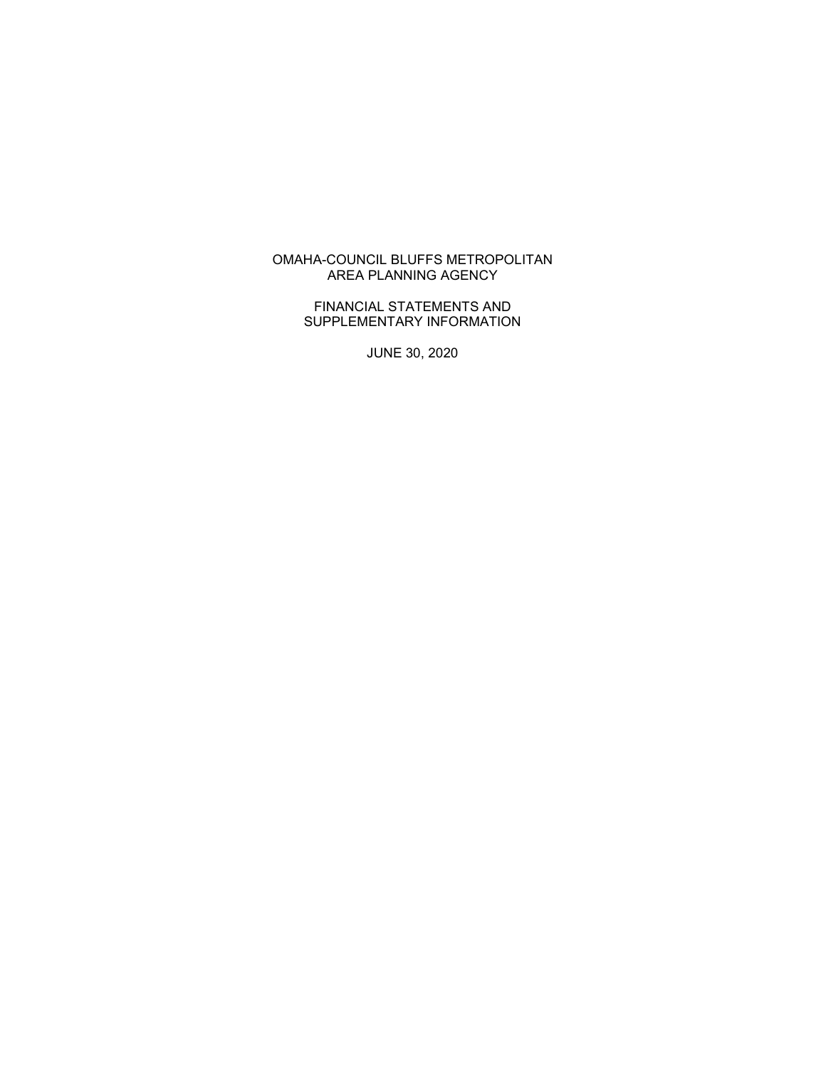> FINANCIAL STATEMENTS AND SUPPLEMENTARY INFORMATION

> > JUNE 30, 2020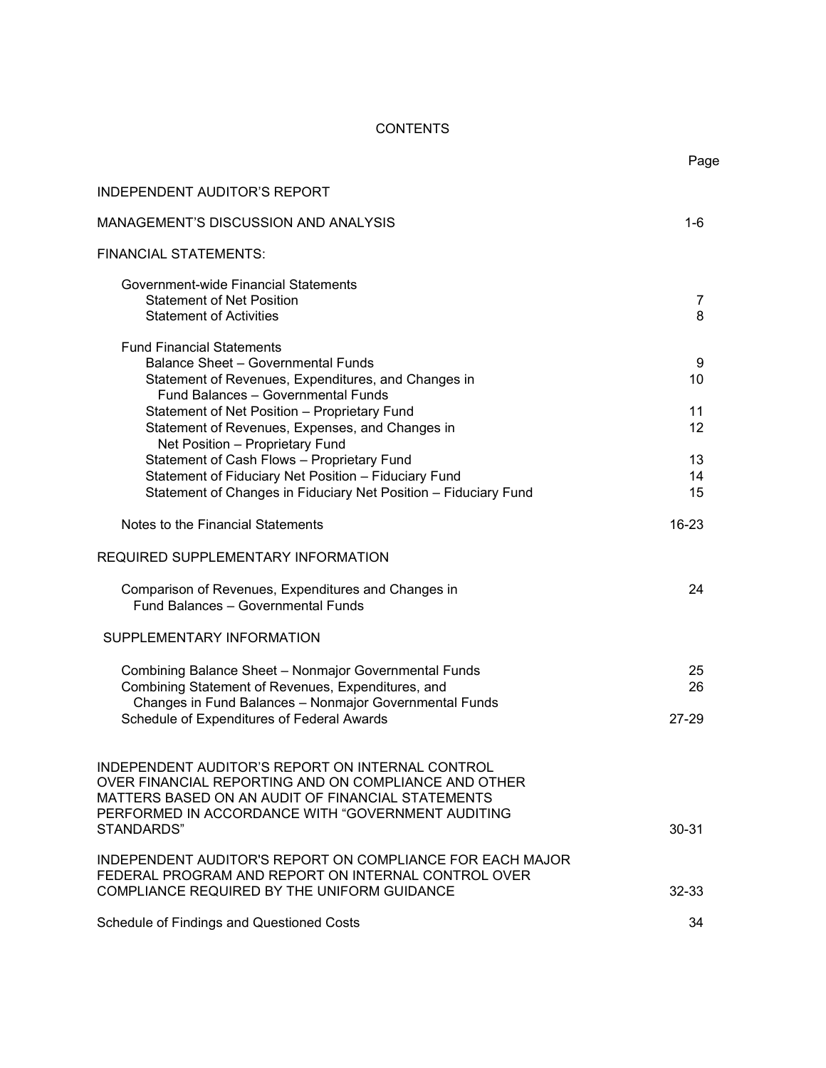# **CONTENTS**

| <b>INDEPENDENT AUDITOR'S REPORT</b>                                                                                                                                                                                |                |
|--------------------------------------------------------------------------------------------------------------------------------------------------------------------------------------------------------------------|----------------|
| <b>MANAGEMENT'S DISCUSSION AND ANALYSIS</b>                                                                                                                                                                        | 1-6            |
| <b>FINANCIAL STATEMENTS:</b>                                                                                                                                                                                       |                |
| Government-wide Financial Statements<br><b>Statement of Net Position</b><br><b>Statement of Activities</b>                                                                                                         | 7<br>8         |
| <b>Fund Financial Statements</b><br><b>Balance Sheet - Governmental Funds</b><br>Statement of Revenues, Expenditures, and Changes in<br><b>Fund Balances - Governmental Funds</b>                                  | 9<br>10        |
| Statement of Net Position - Proprietary Fund<br>Statement of Revenues, Expenses, and Changes in<br>Net Position - Proprietary Fund                                                                                 | 11<br>12       |
| Statement of Cash Flows - Proprietary Fund<br>Statement of Fiduciary Net Position - Fiduciary Fund<br>Statement of Changes in Fiduciary Net Position - Fiduciary Fund                                              | 13<br>14<br>15 |
| Notes to the Financial Statements                                                                                                                                                                                  | 16-23          |
| <b>REQUIRED SUPPLEMENTARY INFORMATION</b>                                                                                                                                                                          |                |
| Comparison of Revenues, Expenditures and Changes in<br><b>Fund Balances - Governmental Funds</b>                                                                                                                   | 24             |
| SUPPLEMENTARY INFORMATION                                                                                                                                                                                          |                |
| Combining Balance Sheet - Nonmajor Governmental Funds<br>Combining Statement of Revenues, Expenditures, and<br>Changes in Fund Balances - Nonmajor Governmental Funds                                              | 25<br>26       |
| Schedule of Expenditures of Federal Awards                                                                                                                                                                         | $27 - 29$      |
| INDEPENDENT AUDITOR'S REPORT ON INTERNAL CONTROL<br>OVER FINANCIAL REPORTING AND ON COMPLIANCE AND OTHER<br>MATTERS BASED ON AN AUDIT OF FINANCIAL STATEMENTS<br>PERFORMED IN ACCORDANCE WITH "GOVERNMENT AUDITING |                |
| STANDARDS"                                                                                                                                                                                                         | $30 - 31$      |
| INDEPENDENT AUDITOR'S REPORT ON COMPLIANCE FOR EACH MAJOR<br>FEDERAL PROGRAM AND REPORT ON INTERNAL CONTROL OVER<br>COMPLIANCE REQUIRED BY THE UNIFORM GUIDANCE                                                    | 32-33          |
| Schedule of Findings and Questioned Costs                                                                                                                                                                          | 34             |

Page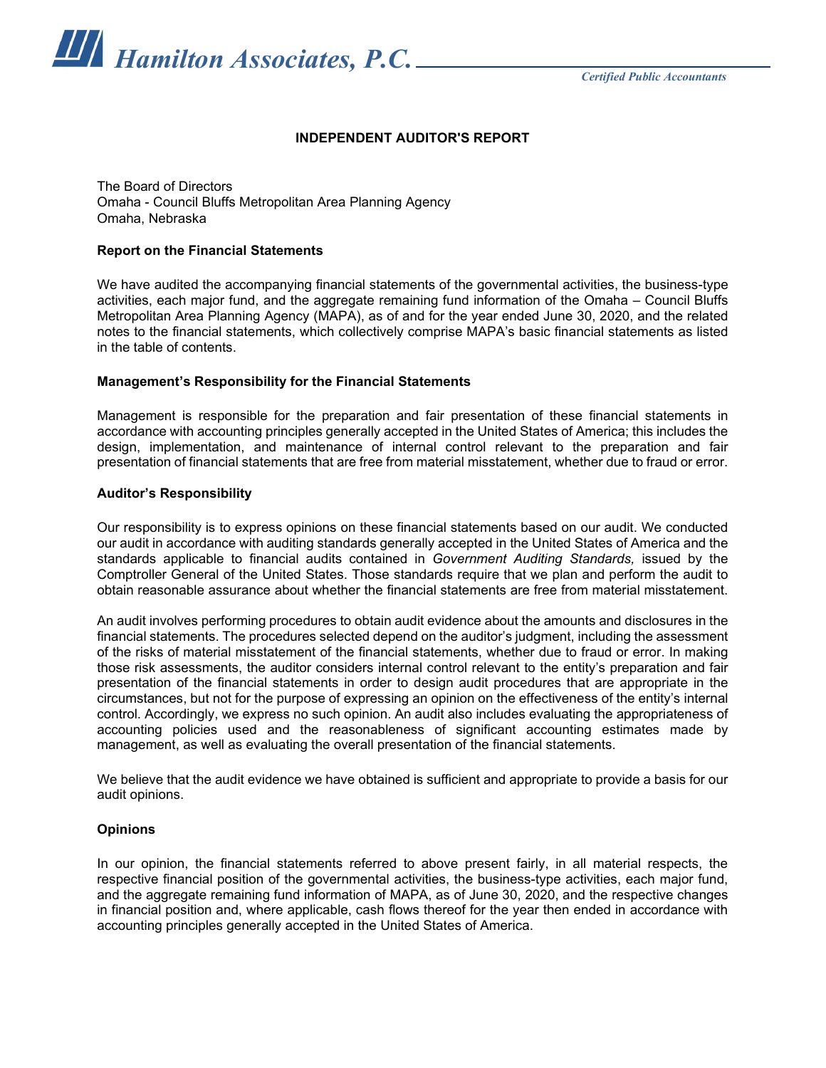

# **INDEPENDENT AUDITOR'S REPORT**

The Board of Directors Omaha - Council Bluffs Metropolitan Area Planning Agency Omaha, Nebraska

### **Report on the Financial Statements**

We have audited the accompanying financial statements of the governmental activities, the business-type activities, each major fund, and the aggregate remaining fund information of the Omaha – Council Bluffs Metropolitan Area Planning Agency (MAPA), as of and for the year ended June 30, 2020, and the related notes to the financial statements, which collectively comprise MAPA's basic financial statements as listed in the table of contents.

### **Management's Responsibility for the Financial Statements**

Management is responsible for the preparation and fair presentation of these financial statements in accordance with accounting principles generally accepted in the United States of America; this includes the design, implementation, and maintenance of internal control relevant to the preparation and fair presentation of financial statements that are free from material misstatement, whether due to fraud or error.

#### **Auditor's Responsibility**

Our responsibility is to express opinions on these financial statements based on our audit. We conducted our audit in accordance with auditing standards generally accepted in the United States of America and the standards applicable to financial audits contained in *Government Auditing Standards,* issued by the Comptroller General of the United States. Those standards require that we plan and perform the audit to obtain reasonable assurance about whether the financial statements are free from material misstatement.

An audit involves performing procedures to obtain audit evidence about the amounts and disclosures in the financial statements. The procedures selected depend on the auditor's judgment, including the assessment of the risks of material misstatement of the financial statements, whether due to fraud or error. In making those risk assessments, the auditor considers internal control relevant to the entity's preparation and fair presentation of the financial statements in order to design audit procedures that are appropriate in the circumstances, but not for the purpose of expressing an opinion on the effectiveness of the entity's internal control. Accordingly, we express no such opinion. An audit also includes evaluating the appropriateness of accounting policies used and the reasonableness of significant accounting estimates made by management, as well as evaluating the overall presentation of the financial statements.

We believe that the audit evidence we have obtained is sufficient and appropriate to provide a basis for our audit opinions.

### **Opinions**

In our opinion, the financial statements referred to above present fairly, in all material respects, the respective financial position of the governmental activities, the business-type activities, each major fund, and the aggregate remaining fund information of MAPA, as of June 30, 2020, and the respective changes in financial position and, where applicable, cash flows thereof for the year then ended in accordance with accounting principles generally accepted in the United States of America.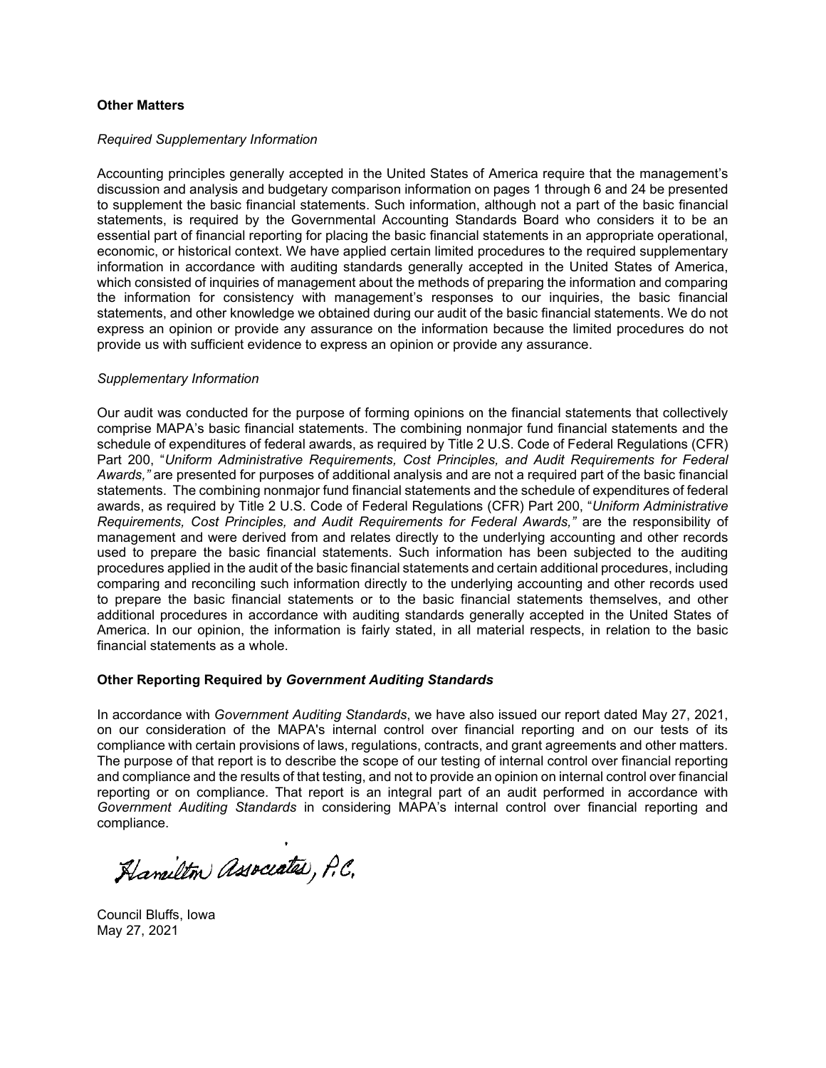### **Other Matters**

#### *Required Supplementary Information*

Accounting principles generally accepted in the United States of America require that the management's discussion and analysis and budgetary comparison information on pages 1 through 6 and 24 be presented to supplement the basic financial statements. Such information, although not a part of the basic financial statements, is required by the Governmental Accounting Standards Board who considers it to be an essential part of financial reporting for placing the basic financial statements in an appropriate operational, economic, or historical context. We have applied certain limited procedures to the required supplementary information in accordance with auditing standards generally accepted in the United States of America, which consisted of inquiries of management about the methods of preparing the information and comparing the information for consistency with management's responses to our inquiries, the basic financial statements, and other knowledge we obtained during our audit of the basic financial statements. We do not express an opinion or provide any assurance on the information because the limited procedures do not provide us with sufficient evidence to express an opinion or provide any assurance.

#### *Supplementary Information*

Our audit was conducted for the purpose of forming opinions on the financial statements that collectively comprise MAPA's basic financial statements. The combining nonmajor fund financial statements and the schedule of expenditures of federal awards, as required by Title 2 U.S. Code of Federal Regulations (CFR) Part 200, "*Uniform Administrative Requirements, Cost Principles, and Audit Requirements for Federal Awards,"* are presented for purposes of additional analysis and are not a required part of the basic financial statements. The combining nonmajor fund financial statements and the schedule of expenditures of federal awards, as required by Title 2 U.S. Code of Federal Regulations (CFR) Part 200, "*Uniform Administrative Requirements, Cost Principles, and Audit Requirements for Federal Awards,"* are the responsibility of management and were derived from and relates directly to the underlying accounting and other records used to prepare the basic financial statements. Such information has been subjected to the auditing procedures applied in the audit of the basic financial statements and certain additional procedures, including comparing and reconciling such information directly to the underlying accounting and other records used to prepare the basic financial statements or to the basic financial statements themselves, and other additional procedures in accordance with auditing standards generally accepted in the United States of America. In our opinion, the information is fairly stated, in all material respects, in relation to the basic financial statements as a whole.

#### **Other Reporting Required by** *Government Auditing Standards*

In accordance with *Government Auditing Standards*, we have also issued our report dated May 27, 2021, on our consideration of the MAPA's internal control over financial reporting and on our tests of its compliance with certain provisions of laws, regulations, contracts, and grant agreements and other matters. The purpose of that report is to describe the scope of our testing of internal control over financial reporting and compliance and the results of that testing, and not to provide an opinion on internal control over financial reporting or on compliance. That report is an integral part of an audit performed in accordance with *Government Auditing Standards* in considering MAPA's internal control over financial reporting and compliance.

Hamilton associates, P.C.

Council Bluffs, Iowa May 27, 2021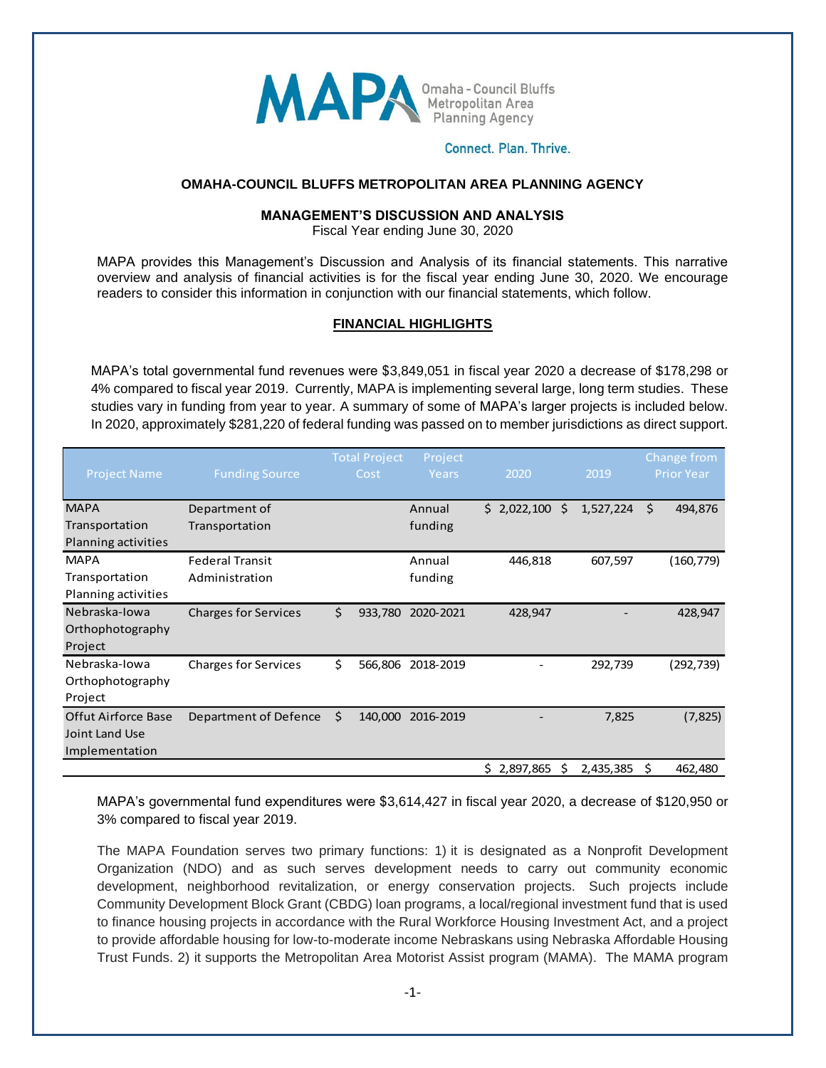

## Connect. Plan. Thrive.

### **OMAHA-COUNCIL BLUFFS METROPOLITAN AREA PLANNING AGENCY**

### **MANAGEMENT'S DISCUSSION AND ANALYSIS**

Fiscal Year ending June 30, 2020

MAPA provides this Management's Discussion and Analysis of its financial statements. This narrative overview and analysis of financial activities is for the fiscal year ending June 30, 2020. We encourage readers to consider this information in conjunction with our financial statements, which follow.

### **FINANCIAL HIGHLIGHTS**

MAPA's total governmental fund revenues were \$3,849,051 in fiscal year 2020 a decrease of \$178,298 or 4% compared to fiscal year 2019. Currently, MAPA is implementing several large, long term studies. These studies vary in funding from year to year. A summary of some of MAPA's larger projects is included below. In 2020, approximately \$281,220 of federal funding was passed on to member jurisdictions as direct support.

|                                                                |                                          |    | <b>Total Project</b> | Project           |                 |   |           | Change from       |
|----------------------------------------------------------------|------------------------------------------|----|----------------------|-------------------|-----------------|---|-----------|-------------------|
| <b>Project Name</b>                                            | <b>Funding Source</b>                    |    | Cost                 | Years             | 2020            |   | 2019      | <b>Prior Year</b> |
| <b>MAPA</b>                                                    | Department of                            |    |                      | Annual            | $$2,022,100$ \$ |   | 1,527,224 | \$<br>494,876     |
| Transportation<br>Planning activities                          | Transportation                           |    |                      | funding           |                 |   |           |                   |
| <b>MAPA</b><br>Transportation<br>Planning activities           | <b>Federal Transit</b><br>Administration |    |                      | Annual<br>funding | 446,818         |   | 607,597   | (160,779)         |
| Nebraska-Iowa<br>Orthophotography<br>Project                   | <b>Charges for Services</b>              | \$ | 933,780              | 2020-2021         | 428,947         |   |           | 428,947           |
| Nebraska-Iowa<br>Orthophotography<br>Project                   | <b>Charges for Services</b>              | \$ | 566,806              | 2018-2019         |                 |   | 292,739   | (292,739)         |
| <b>Offut Airforce Base</b><br>Joint Land Use<br>Implementation | Department of Defence                    | Ś  | 140,000              | 2016-2019         |                 |   | 7,825     | (7, 825)          |
|                                                                |                                          |    |                      |                   | \$2,897,865     | Ś | 2,435,385 | \$<br>462,480     |

MAPA's governmental fund expenditures were \$3,614,427 in fiscal year 2020, a decrease of \$120,950 or 3% compared to fiscal year 2019.

The MAPA Foundation serves two primary functions: 1) it is designated as a Nonprofit Development Organization (NDO) and as such serves development needs to carry out community economic development, neighborhood revitalization, or energy conservation projects. Such projects include Community Development Block Grant (CBDG) loan programs, a local/regional investment fund that is used to finance housing projects in accordance with the Rural Workforce Housing Investment Act, and a project to provide affordable housing for low-to-moderate income Nebraskans using Nebraska Affordable Housing Trust Funds. 2) it supports the Metropolitan Area Motorist Assist program (MAMA). The MAMA program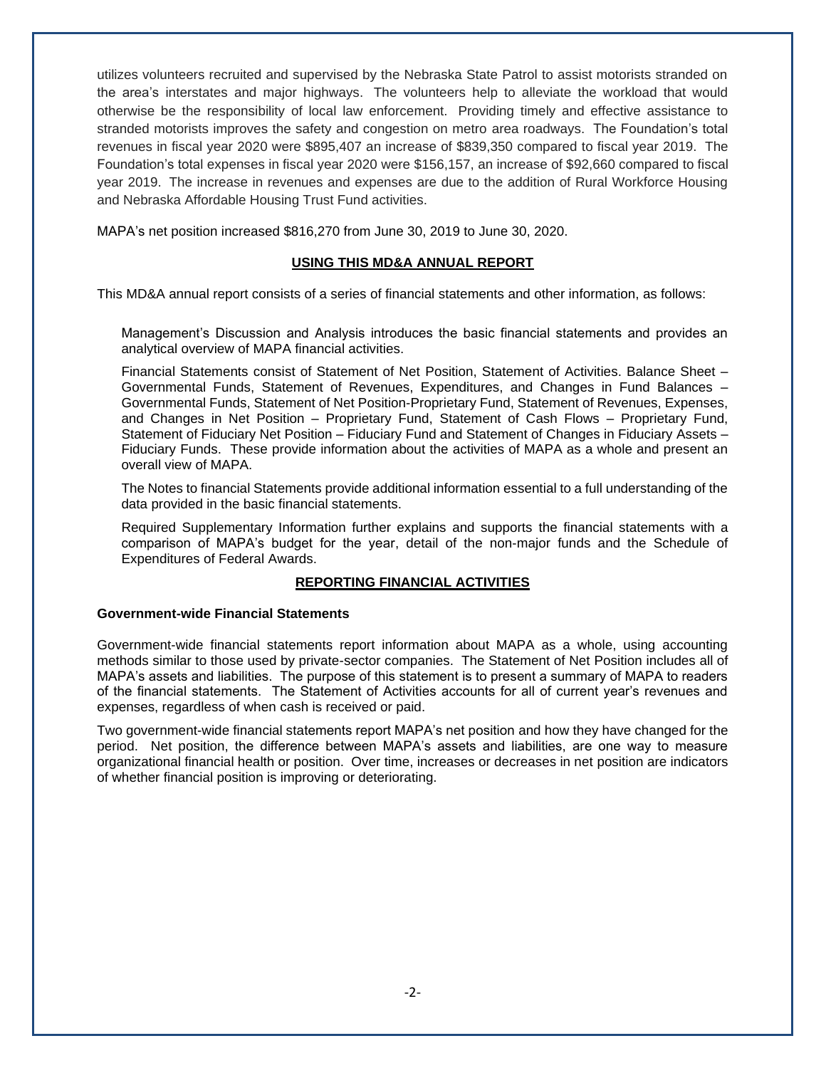utilizes volunteers recruited and supervised by the Nebraska State Patrol to assist motorists stranded on the area's interstates and major highways. The volunteers help to alleviate the workload that would otherwise be the responsibility of local law enforcement. Providing timely and effective assistance to stranded motorists improves the safety and congestion on metro area roadways. The Foundation's total revenues in fiscal year 2020 were \$895,407 an increase of \$839,350 compared to fiscal year 2019. The Foundation's total expenses in fiscal year 2020 were \$156,157, an increase of \$92,660 compared to fiscal year 2019. The increase in revenues and expenses are due to the addition of Rural Workforce Housing and Nebraska Affordable Housing Trust Fund activities.

MAPA's net position increased \$816,270 from June 30, 2019 to June 30, 2020.

### **USING THIS MD&A ANNUAL REPORT**

This MD&A annual report consists of a series of financial statements and other information, as follows:

Management's Discussion and Analysis introduces the basic financial statements and provides an analytical overview of MAPA financial activities.

Financial Statements consist of Statement of Net Position, Statement of Activities. Balance Sheet – Governmental Funds, Statement of Revenues, Expenditures, and Changes in Fund Balances – Governmental Funds, Statement of Net Position-Proprietary Fund, Statement of Revenues, Expenses, and Changes in Net Position – Proprietary Fund, Statement of Cash Flows – Proprietary Fund, Statement of Fiduciary Net Position – Fiduciary Fund and Statement of Changes in Fiduciary Assets – Fiduciary Funds. These provide information about the activities of MAPA as a whole and present an overall view of MAPA.

The Notes to financial Statements provide additional information essential to a full understanding of the data provided in the basic financial statements.

Required Supplementary Information further explains and supports the financial statements with a comparison of MAPA's budget for the year, detail of the non-major funds and the Schedule of Expenditures of Federal Awards.

### **REPORTING FINANCIAL ACTIVITIES**

#### **Government-wide Financial Statements**

Government-wide financial statements report information about MAPA as a whole, using accounting methods similar to those used by private-sector companies. The Statement of Net Position includes all of MAPA's assets and liabilities. The purpose of this statement is to present a summary of MAPA to readers of the financial statements. The Statement of Activities accounts for all of current year's revenues and expenses, regardless of when cash is received or paid.

Two government-wide financial statements report MAPA's net position and how they have changed for the period. Net position, the difference between MAPA's assets and liabilities, are one way to measure organizational financial health or position. Over time, increases or decreases in net position are indicators of whether financial position is improving or deteriorating.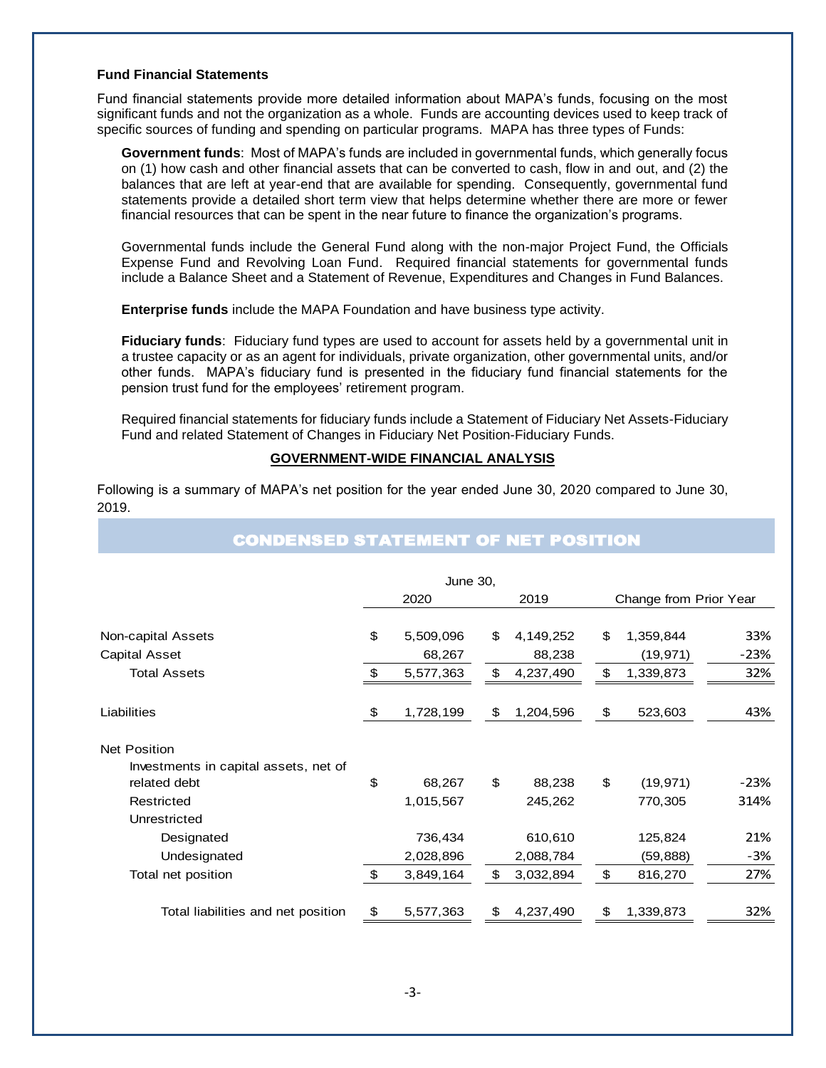### **Fund Financial Statements**

Fund financial statements provide more detailed information about MAPA's funds, focusing on the most significant funds and not the organization as a whole. Funds are accounting devices used to keep track of specific sources of funding and spending on particular programs. MAPA has three types of Funds:

**Government funds**: Most of MAPA's funds are included in governmental funds, which generally focus on (1) how cash and other financial assets that can be converted to cash, flow in and out, and (2) the balances that are left at year-end that are available for spending. Consequently, governmental fund statements provide a detailed short term view that helps determine whether there are more or fewer financial resources that can be spent in the near future to finance the organization's programs.

Governmental funds include the General Fund along with the non-major Project Fund, the Officials Expense Fund and Revolving Loan Fund. Required financial statements for governmental funds include a Balance Sheet and a Statement of Revenue, Expenditures and Changes in Fund Balances.

**Enterprise funds** include the MAPA Foundation and have business type activity.

**Fiduciary funds**: Fiduciary fund types are used to account for assets held by a governmental unit in a trustee capacity or as an agent for individuals, private organization, other governmental units, and/or other funds. MAPA's fiduciary fund is presented in the fiduciary fund financial statements for the pension trust fund for the employees' retirement program.

Required financial statements for fiduciary funds include a Statement of Fiduciary Net Assets-Fiduciary Fund and related Statement of Changes in Fiduciary Net Position-Fiduciary Funds.

### **GOVERNMENT-WIDE FINANCIAL ANALYSIS**

Following is a summary of MAPA's net position for the year ended June 30, 2020 compared to June 30, 2019.

# CONDENSED STATEMENT OF NET POSITION

|                                       | June 30,        |                   |                        |        |
|---------------------------------------|-----------------|-------------------|------------------------|--------|
|                                       | 2020            | 2019              | Change from Prior Year |        |
|                                       |                 |                   |                        |        |
| Non-capital Assets                    | \$<br>5,509,096 | \$<br>4, 149, 252 | \$<br>1,359,844        | 33%    |
| <b>Capital Asset</b>                  | 68,267          | 88,238            | (19, 971)              | $-23%$ |
| <b>Total Assets</b>                   | \$<br>5,577,363 | \$<br>4,237,490   | \$<br>1,339,873        | 32%    |
|                                       |                 |                   |                        |        |
| Liabilities                           | \$<br>1,728,199 | \$<br>1,204,596   | \$<br>523,603          | 43%    |
|                                       |                 |                   |                        |        |
| <b>Net Position</b>                   |                 |                   |                        |        |
| Investments in capital assets, net of |                 |                   |                        |        |
| related debt                          | \$<br>68,267    | \$<br>88,238      | \$<br>(19, 971)        | $-23%$ |
| Restricted                            | 1,015,567       | 245,262           | 770,305                | 314%   |
| Unrestricted                          |                 |                   |                        |        |
| Designated                            | 736,434         | 610,610           | 125,824                | 21%    |
| Undesignated                          | 2,028,896       | 2,088,784         | (59, 888)              | -3%    |
| Total net position                    | \$<br>3,849,164 | \$<br>3,032,894   | \$<br>816,270          | 27%    |
|                                       |                 |                   |                        |        |
| Total liabilities and net position    | \$<br>5,577,363 | 4,237,490         | \$<br>1,339,873        | 32%    |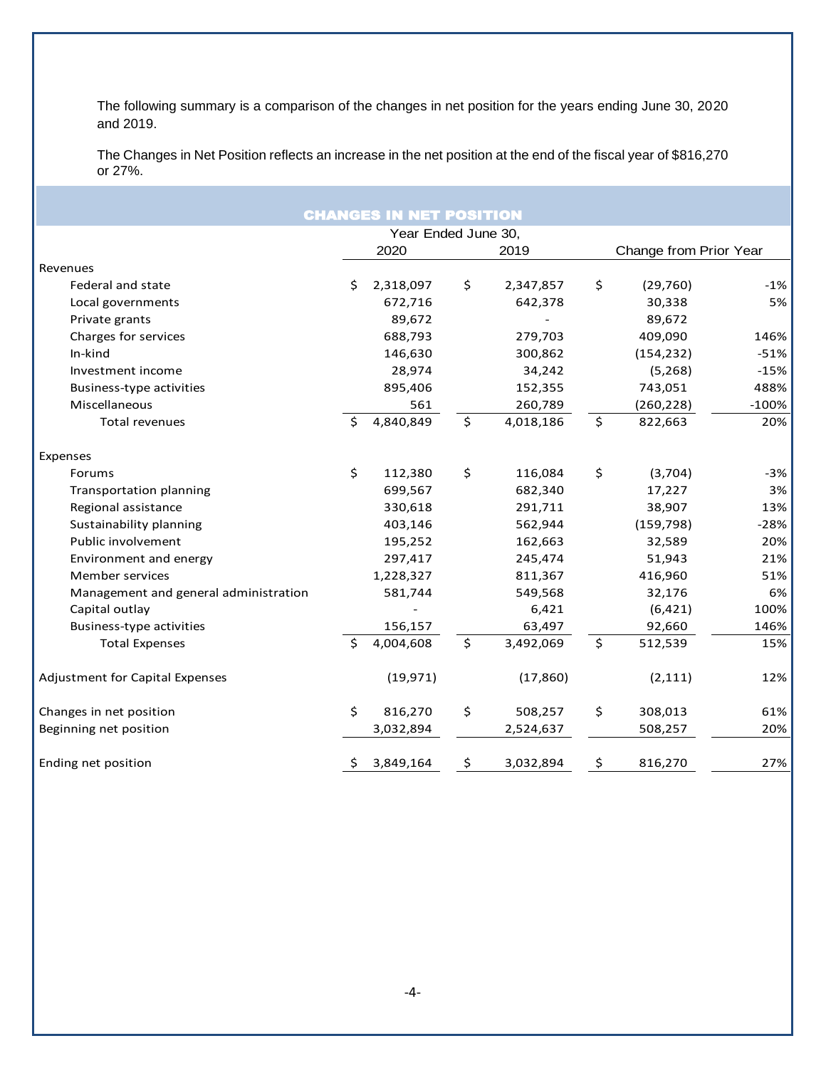The following summary is a comparison of the changes in net position for the years ending June 30, 2020 and 2019.

The Changes in Net Position reflects an increase in the net position at the end of the fiscal year of \$816,270 or 27%.

|                                        |    | <b>CHANGES IN NET POSITION</b> |         |           |                        |         |
|----------------------------------------|----|--------------------------------|---------|-----------|------------------------|---------|
|                                        |    | Year Ended June 30,            |         |           |                        |         |
|                                        |    | 2020                           |         | 2019      | Change from Prior Year |         |
| Revenues                               |    |                                |         |           |                        |         |
| Federal and state                      | \$ | 2,318,097                      | \$      | 2,347,857 | \$<br>(29, 760)        | $-1%$   |
| Local governments                      |    | 672,716                        |         | 642,378   | 30,338                 | 5%      |
| Private grants                         |    | 89,672                         |         |           | 89,672                 |         |
| Charges for services                   |    | 688,793                        |         | 279,703   | 409,090                | 146%    |
| In-kind                                |    | 146,630                        |         | 300,862   | (154, 232)             | $-51%$  |
| Investment income                      |    | 28,974                         |         | 34,242    | (5,268)                | $-15%$  |
| Business-type activities               |    | 895,406                        |         | 152,355   | 743,051                | 488%    |
| Miscellaneous                          |    | 561                            |         | 260,789   | (260, 228)             | $-100%$ |
| Total revenues                         | Ś  | 4,840,849                      | \$      | 4,018,186 | \$<br>822,663          | 20%     |
| Expenses                               |    |                                |         |           |                        |         |
| Forums                                 | \$ | 112,380                        | \$      | 116,084   | \$<br>(3,704)          | $-3%$   |
| <b>Transportation planning</b>         |    | 699,567                        |         | 682,340   | 17,227                 | 3%      |
| Regional assistance                    |    | 330,618                        |         | 291,711   | 38,907                 | 13%     |
| Sustainability planning                |    | 403,146                        |         | 562,944   | (159, 798)             | $-28%$  |
| Public involvement                     |    | 195,252                        |         | 162,663   | 32,589                 | 20%     |
| Environment and energy                 |    | 297,417                        |         | 245,474   | 51,943                 | 21%     |
| Member services                        |    | 1,228,327                      |         | 811,367   | 416,960                | 51%     |
| Management and general administration  |    | 581,744                        |         | 549,568   | 32,176                 | 6%      |
| Capital outlay                         |    |                                |         | 6,421     | (6, 421)               | 100%    |
| Business-type activities               |    | 156,157                        |         | 63,497    | 92,660                 | 146%    |
| <b>Total Expenses</b>                  | Ś. | 4,004,608                      | $\zeta$ | 3,492,069 | \$<br>512,539          | 15%     |
| <b>Adjustment for Capital Expenses</b> |    | (19, 971)                      |         | (17, 860) | (2, 111)               | 12%     |
| Changes in net position                | \$ | 816,270                        | \$      | 508,257   | \$<br>308,013          | 61%     |
| Beginning net position                 |    | 3,032,894                      |         | 2,524,637 | 508,257                | 20%     |
| Ending net position                    | \$ | 3,849,164                      | \$      | 3,032,894 | \$<br>816,270          | 27%     |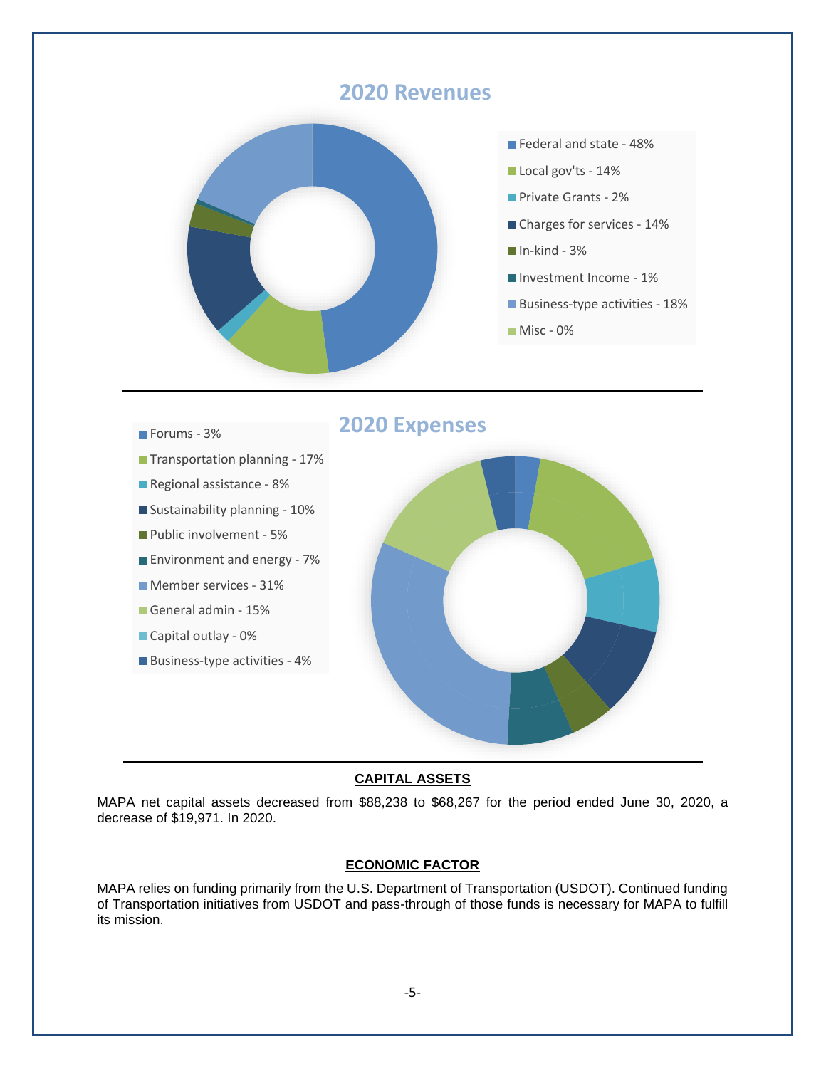



# **CAPITAL ASSETS**

MAPA net capital assets decreased from \$88,238 to \$68,267 for the period ended June 30, 2020, a decrease of \$19,971. In 2020.

### **ECONOMIC FACTOR**

MAPA relies on funding primarily from the U.S. Department of Transportation (USDOT). Continued funding of Transportation initiatives from USDOT and pass-through of those funds is necessary for MAPA to fulfill its mission.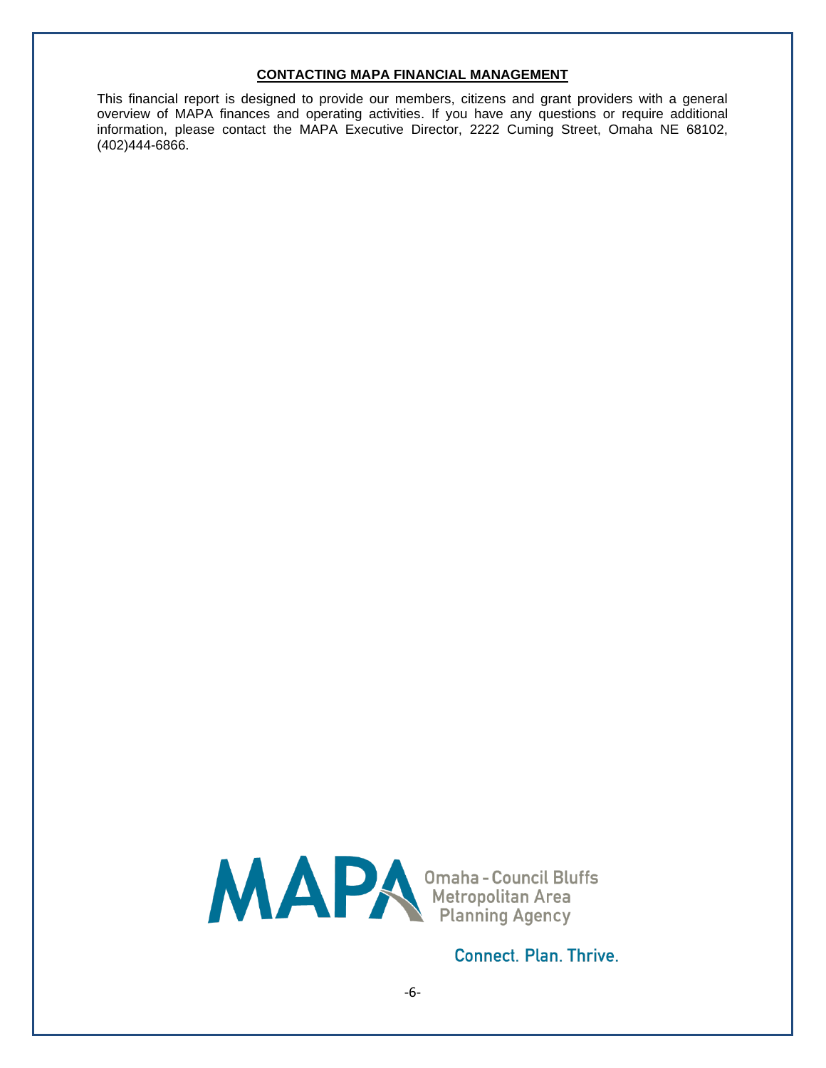### **CONTACTING MAPA FINANCIAL MANAGEMENT**

This financial report is designed to provide our members, citizens and grant providers with a general overview of MAPA finances and operating activities. If you have any questions or require additional information, please contact the MAPA Executive Director, 2222 Cuming Street, Omaha NE 68102, (402)444-6866.



**Connect. Plan. Thrive.**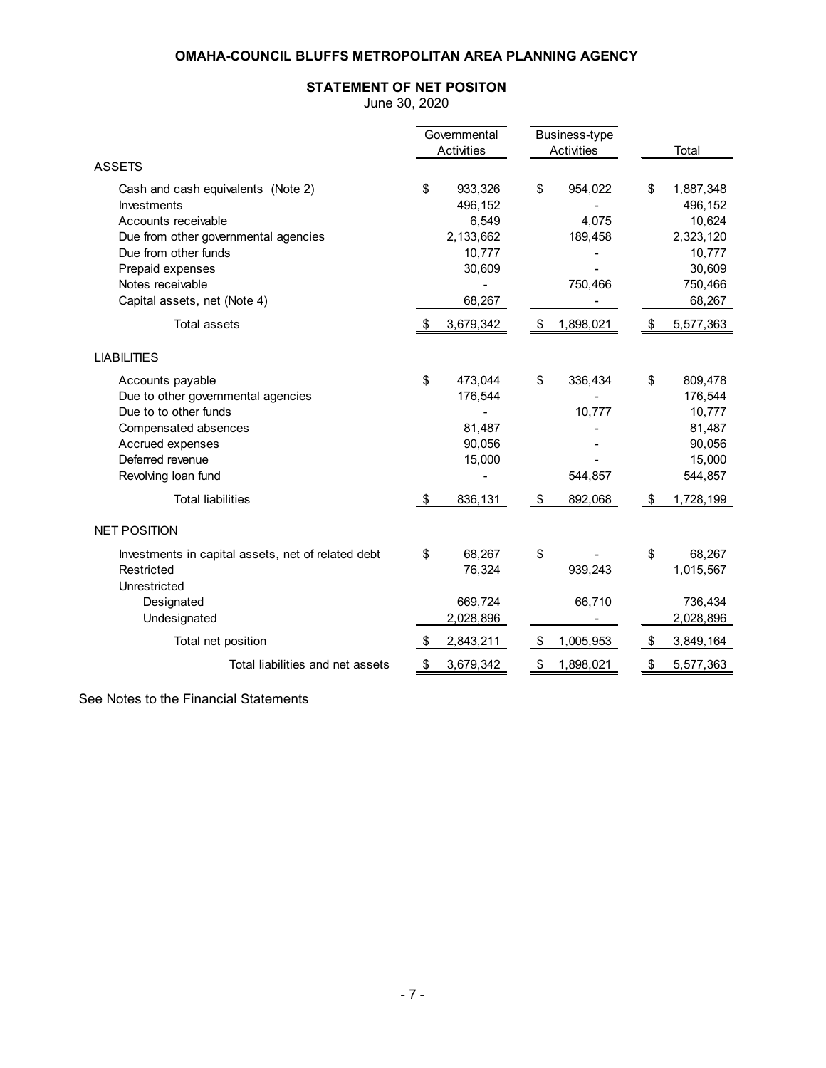# **STATEMENT OF NET POSITON**

June 30, 2020

| <b>ASSETS</b>                                                                                                                                                                                                                           | Governmental<br>Activities                                                                | Business-type<br>Activities                                     | Total                                                                                                         |
|-----------------------------------------------------------------------------------------------------------------------------------------------------------------------------------------------------------------------------------------|-------------------------------------------------------------------------------------------|-----------------------------------------------------------------|---------------------------------------------------------------------------------------------------------------|
| Cash and cash equivalents (Note 2)<br>Investments<br>Accounts receivable<br>Due from other governmental agencies<br>Due from other funds<br>Prepaid expenses<br>Notes receivable<br>Capital assets, net (Note 4)<br><b>Total assets</b> | \$<br>933,326<br>496,152<br>6,549<br>2,133,662<br>10,777<br>30,609<br>68,267<br>3,679,342 | \$<br>954,022<br>4,075<br>189,458<br>750,466<br>1,898,021<br>\$ | 1,887,348<br>\$<br>496,152<br>10,624<br>2,323,120<br>10,777<br>30,609<br>750,466<br>68,267<br>5,577,363<br>\$ |
|                                                                                                                                                                                                                                         |                                                                                           |                                                                 |                                                                                                               |
| <b>LIABILITIES</b>                                                                                                                                                                                                                      |                                                                                           |                                                                 |                                                                                                               |
| Accounts payable<br>Due to other governmental agencies<br>Due to to other funds<br>Compensated absences<br>Accrued expenses<br>Deferred revenue<br>Revolving loan fund                                                                  | \$<br>473,044<br>176,544<br>81,487<br>90,056<br>15,000                                    | \$<br>336,434<br>10,777<br>544,857                              | \$<br>809,478<br>176,544<br>10,777<br>81,487<br>90,056<br>15,000<br>544,857                                   |
| <b>Total liabilities</b>                                                                                                                                                                                                                | \$<br>836,131                                                                             | \$<br>892,068                                                   | 1,728,199<br>\$                                                                                               |
| <b>NET POSITION</b>                                                                                                                                                                                                                     |                                                                                           |                                                                 |                                                                                                               |
| Investments in capital assets, net of related debt<br>Restricted<br>Unrestricted                                                                                                                                                        | \$<br>68,267<br>76,324                                                                    | \$<br>939,243                                                   | \$<br>68,267<br>1,015,567                                                                                     |
| Designated                                                                                                                                                                                                                              | 669,724                                                                                   | 66,710                                                          | 736,434                                                                                                       |
| Undesignated                                                                                                                                                                                                                            | 2,028,896                                                                                 |                                                                 | 2,028,896                                                                                                     |
| Total net position                                                                                                                                                                                                                      | 2,843,211<br>\$                                                                           | 1,005,953<br>\$                                                 | \$<br>3,849,164                                                                                               |
| Total liabilities and net assets                                                                                                                                                                                                        | \$<br>3,679,342                                                                           | \$<br>1,898,021                                                 | \$<br>5,577,363                                                                                               |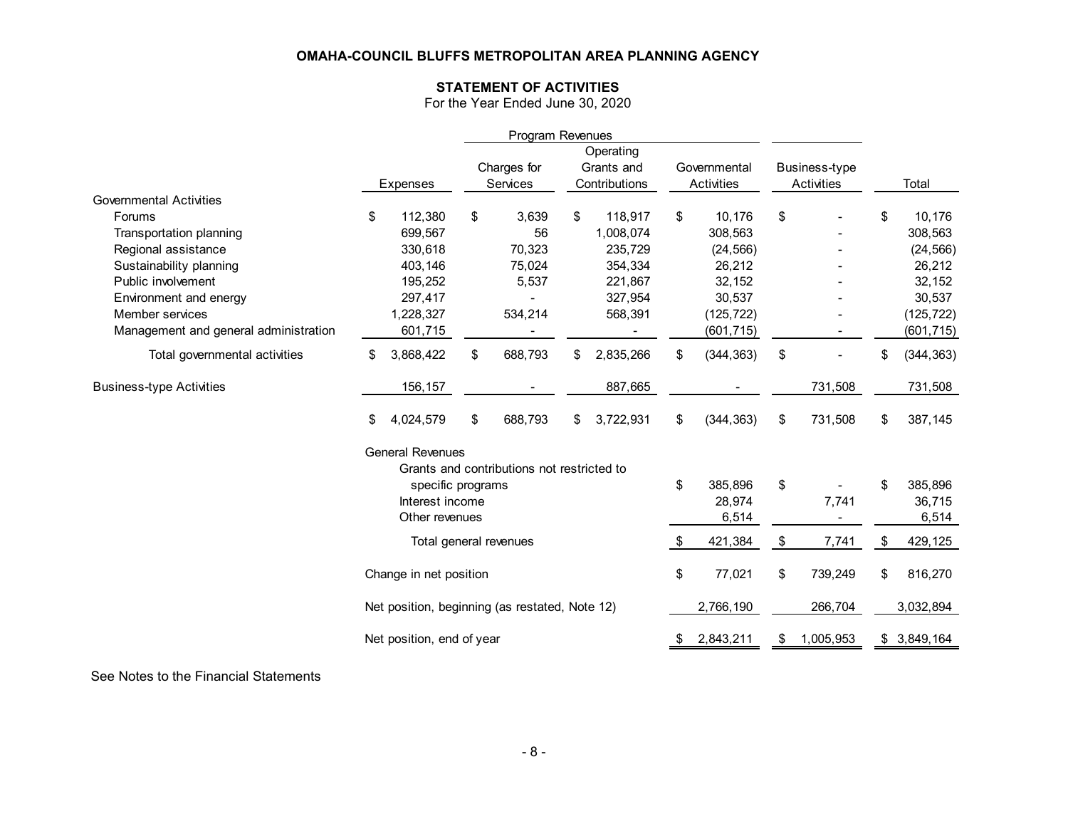# **STATEMENT OF ACTIVITIES**

For the Year Ended June 30, 2020

|                                       |                                                | Program Revenues |                                            |    |               |    |              |                 |       |             |
|---------------------------------------|------------------------------------------------|------------------|--------------------------------------------|----|---------------|----|--------------|-----------------|-------|-------------|
|                                       |                                                | Operating        |                                            |    |               |    |              |                 |       |             |
|                                       |                                                |                  | Charges for                                |    | Grants and    |    | Governmental | Business-type   |       |             |
|                                       | Expenses                                       |                  | Services                                   |    | Contributions |    | Activities   | Activities      | Total |             |
| <b>Governmental Activities</b>        |                                                |                  |                                            |    |               |    |              |                 |       |             |
| Forums                                | \$<br>112,380                                  | \$               | 3,639                                      | \$ | 118,917       | \$ | 10,176       | \$              | \$    | 10,176      |
| Transportation planning               | 699,567                                        |                  | 56                                         |    | 1,008,074     |    | 308,563      |                 |       | 308,563     |
| Regional assistance                   | 330,618                                        |                  | 70,323                                     |    | 235,729       |    | (24, 566)    |                 |       | (24, 566)   |
| Sustainability planning               | 403,146                                        |                  | 75,024                                     |    | 354,334       |    | 26,212       |                 |       | 26,212      |
| Public involvement                    | 195,252                                        |                  | 5,537                                      |    | 221,867       |    | 32,152       |                 |       | 32,152      |
| Environment and energy                | 297,417                                        |                  |                                            |    | 327,954       |    | 30,537       |                 |       | 30,537      |
| Member services                       | 1,228,327                                      |                  | 534,214                                    |    | 568,391       |    | (125, 722)   |                 |       | (125, 722)  |
| Management and general administration | 601,715                                        |                  |                                            |    |               |    | (601, 715)   |                 |       | (601, 715)  |
| Total governmental activities         | \$<br>3,868,422                                | \$               | 688,793                                    | \$ | 2,835,266     | \$ | (344, 363)   | \$              | \$    | (344, 363)  |
| <b>Business-type Activities</b>       | 156,157                                        |                  |                                            |    | 887,665       |    |              | 731,508         |       | 731,508     |
|                                       | \$<br>4,024,579                                | \$               | 688,793                                    | \$ | 3,722,931     | \$ | (344, 363)   | \$<br>731,508   | \$    | 387,145     |
|                                       | <b>General Revenues</b>                        |                  |                                            |    |               |    |              |                 |       |             |
|                                       |                                                |                  | Grants and contributions not restricted to |    |               |    |              |                 |       |             |
|                                       | specific programs                              |                  |                                            |    |               | \$ | 385,896      | \$              | \$    | 385,896     |
|                                       | Interest income                                |                  |                                            |    |               |    | 28,974       | 7,741           |       | 36,715      |
|                                       | Other revenues                                 |                  |                                            |    |               |    | 6,514        |                 |       | 6,514       |
|                                       | Total general revenues                         |                  |                                            |    |               | \$ | 421,384      | \$<br>7,741     | \$    | 429,125     |
|                                       | Change in net position                         |                  |                                            |    |               | \$ | 77,021       | \$<br>739,249   | \$    | 816,270     |
|                                       | Net position, beginning (as restated, Note 12) |                  |                                            |    |               |    | 2,766,190    | 266,704         |       | 3,032,894   |
|                                       | Net position, end of year                      |                  |                                            |    |               | \$ | 2,843,211    | \$<br>1,005,953 |       | \$3,849,164 |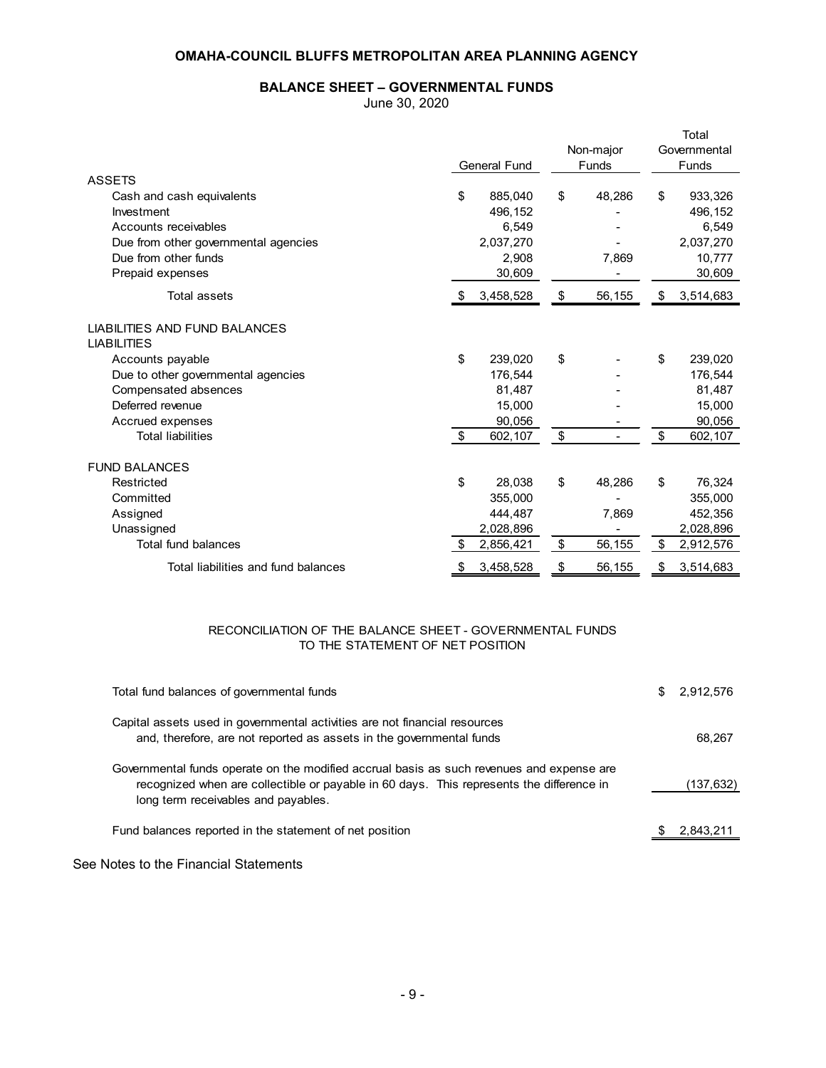#### **BALANCE SHEET – GOVERNMENTAL FUNDS**

June 30, 2020

|                                      | <b>General Fund</b> | Non-major<br>Funds | Total<br>Governmental<br>Funds |
|--------------------------------------|---------------------|--------------------|--------------------------------|
| <b>ASSETS</b>                        |                     |                    |                                |
| Cash and cash equivalents            | \$<br>885,040       | \$<br>48,286       | \$<br>933,326                  |
| Investment                           | 496.152             |                    | 496,152                        |
| Accounts receivables                 | 6,549               |                    | 6,549                          |
| Due from other governmental agencies | 2,037,270           |                    | 2,037,270                      |
| Due from other funds                 | 2,908               | 7,869              | 10,777                         |
| Prepaid expenses                     | 30,609              |                    | 30,609                         |
| <b>Total assets</b>                  | \$<br>3,458,528     | \$<br>56,155       | \$<br>3,514,683                |
| <b>LIABILITIES AND FUND BALANCES</b> |                     |                    |                                |
| <b>LIABILITIES</b>                   |                     |                    |                                |
| Accounts payable                     | \$<br>239.020       | \$                 | \$<br>239,020                  |
| Due to other governmental agencies   | 176,544             |                    | 176,544                        |
| Compensated absences                 | 81,487              |                    | 81,487                         |
| Deferred revenue                     | 15,000              |                    | 15,000                         |
| Accrued expenses                     | 90,056              |                    | 90,056                         |
| <b>Total liabilities</b>             | \$<br>602,107       | \$                 | \$<br>602,107                  |
| <b>FUND BALANCES</b>                 |                     |                    |                                |
| Restricted                           | \$<br>28.038        | \$<br>48,286       | \$<br>76,324                   |
| Committed                            | 355,000             |                    | 355,000                        |
| Assigned                             | 444,487             | 7,869              | 452,356                        |
| Unassigned                           | 2,028,896           |                    | 2,028,896                      |
| <b>Total fund balances</b>           | \$<br>2,856,421     | \$<br>56,155       | \$<br>2,912,576                |
| Total liabilities and fund balances  | \$<br>3,458,528     | \$<br>56,155       | \$<br>3,514,683                |

### RECONCILIATION OF THE BALANCE SHEET - GOVERNMENTAL FUNDS TO THE STATEMENT OF NET POSITION

| Total fund balances of governmental funds                                                                                                                                                                                    | S. | 2,912,576 |
|------------------------------------------------------------------------------------------------------------------------------------------------------------------------------------------------------------------------------|----|-----------|
| Capital assets used in governmental activities are not financial resources<br>and, therefore, are not reported as assets in the governmental funds                                                                           |    | 68.267    |
| Governmental funds operate on the modified accrual basis as such revenues and expense are<br>recognized when are collectible or payable in 60 days. This represents the difference in<br>long term receivables and payables. |    | (137,632) |
| Fund balances reported in the statement of net position                                                                                                                                                                      |    | 2,843,211 |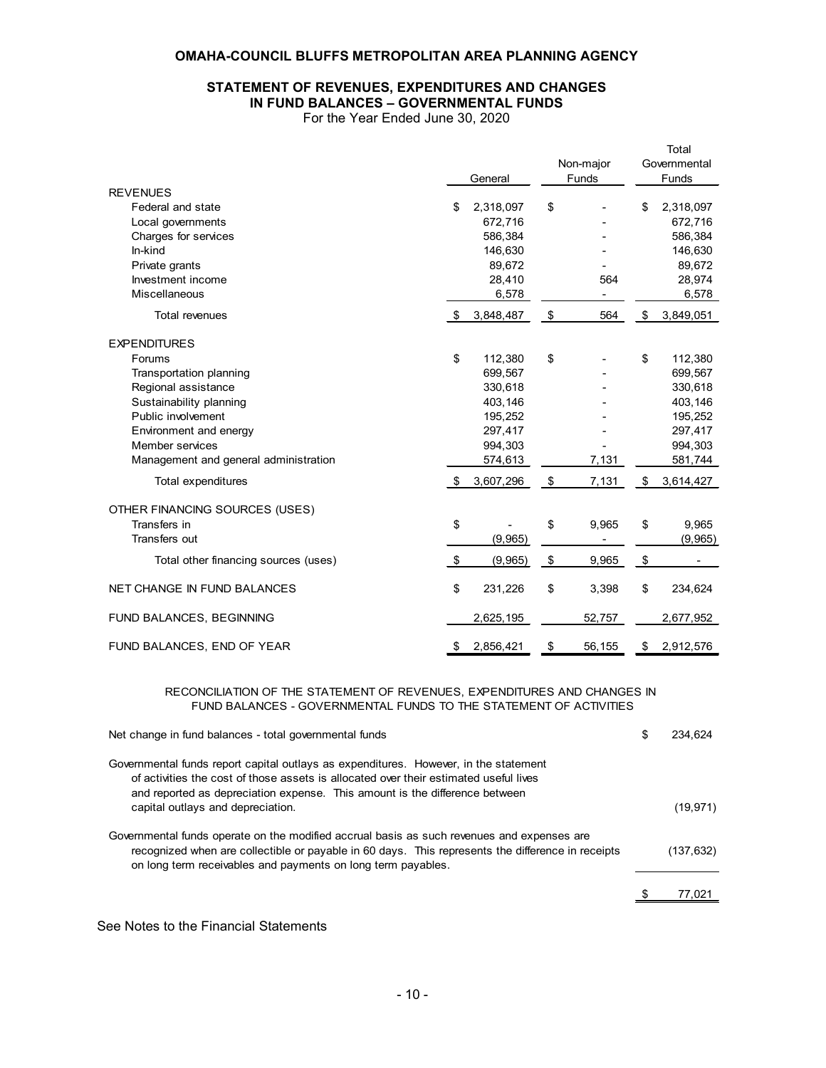### **STATEMENT OF REVENUES, EXPENDITURES AND CHANGES IN FUND BALANCES – GOVERNMENTAL FUNDS**

For the Year Ended June 30, 2020

|                                       |    | General   |            | Non-major<br>Funds       | Total<br>Governmental<br>Funds |
|---------------------------------------|----|-----------|------------|--------------------------|--------------------------------|
| <b>REVENUES</b>                       |    |           |            |                          |                                |
| Federal and state                     | \$ | 2,318,097 | \$         |                          | \$<br>2,318,097                |
| Local governments                     |    | 672,716   |            |                          | 672,716                        |
| Charges for services                  |    | 586,384   |            |                          | 586,384                        |
| In-kind                               |    | 146,630   |            |                          | 146,630                        |
| Private grants                        |    | 89,672    |            |                          | 89,672                         |
| Investment income                     |    | 28,410    |            | 564                      | 28,974                         |
| <b>Miscellaneous</b>                  |    | 6,578     |            | $\overline{\phantom{a}}$ | 6,578                          |
| <b>Total revenues</b>                 | S  | 3,848,487 | \$         | 564                      | \$<br>3,849,051                |
| <b>EXPENDITURES</b>                   |    |           |            |                          |                                |
| Forums                                | \$ | 112,380   | \$         |                          | \$<br>112,380                  |
| Transportation planning               |    | 699,567   |            |                          | 699,567                        |
| Regional assistance                   |    | 330,618   |            |                          | 330,618                        |
| Sustainability planning               |    | 403,146   |            |                          | 403,146                        |
| Public involvement                    |    | 195,252   |            |                          | 195,252                        |
| Environment and energy                |    | 297,417   |            |                          | 297,417                        |
| Member services                       |    | 994,303   |            |                          | 994,303                        |
| Management and general administration |    | 574,613   |            | 7,131                    | 581,744                        |
| Total expenditures                    | S  | 3,607,296 | \$         | 7,131                    | \$<br>3,614,427                |
| OTHER FINANCING SOURCES (USES)        |    |           |            |                          |                                |
| Transfers in                          | \$ |           | \$         | 9,965                    | \$<br>9,965                    |
| Transfers out                         |    | (9,965)   |            |                          | (9,965)                        |
| Total other financing sources (uses)  | \$ | (9,965)   | $\pmb{\$}$ | 9,965                    | \$                             |
| <b>NET CHANGE IN FUND BALANCES</b>    | \$ | 231,226   | \$         | 3,398                    | \$<br>234,624                  |
| FUND BALANCES, BEGINNING              |    | 2,625,195 |            | 52,757                   | 2,677,952                      |
| FUND BALANCES. END OF YEAR            | \$ | 2,856,421 | \$         | 56,155                   | \$<br>2,912,576                |

#### RECONCILIATION OF THE STATEMENT OF REVENUES, EXPENDITURES AND CHANGES IN FUND BALANCES - GOVERNMENTAL FUNDS TO THE STATEMENT OF ACTIVITIES

| Net change in fund balances - total governmental funds                                                                                                                                                                                                          | \$<br>234.624 |
|-----------------------------------------------------------------------------------------------------------------------------------------------------------------------------------------------------------------------------------------------------------------|---------------|
| Governmental funds report capital outlays as expenditures. However, in the statement<br>of activities the cost of those assets is allocated over their estimated useful lives<br>and reported as depreciation expense. This amount is the difference between    |               |
| capital outlays and depreciation.                                                                                                                                                                                                                               | (19, 971)     |
| Governmental funds operate on the modified accrual basis as such revenues and expenses are<br>recognized when are collectible or payable in 60 days. This represents the difference in receipts<br>on long term receivables and payments on long term payables. | (137, 632)    |
|                                                                                                                                                                                                                                                                 | 77,021        |
|                                                                                                                                                                                                                                                                 |               |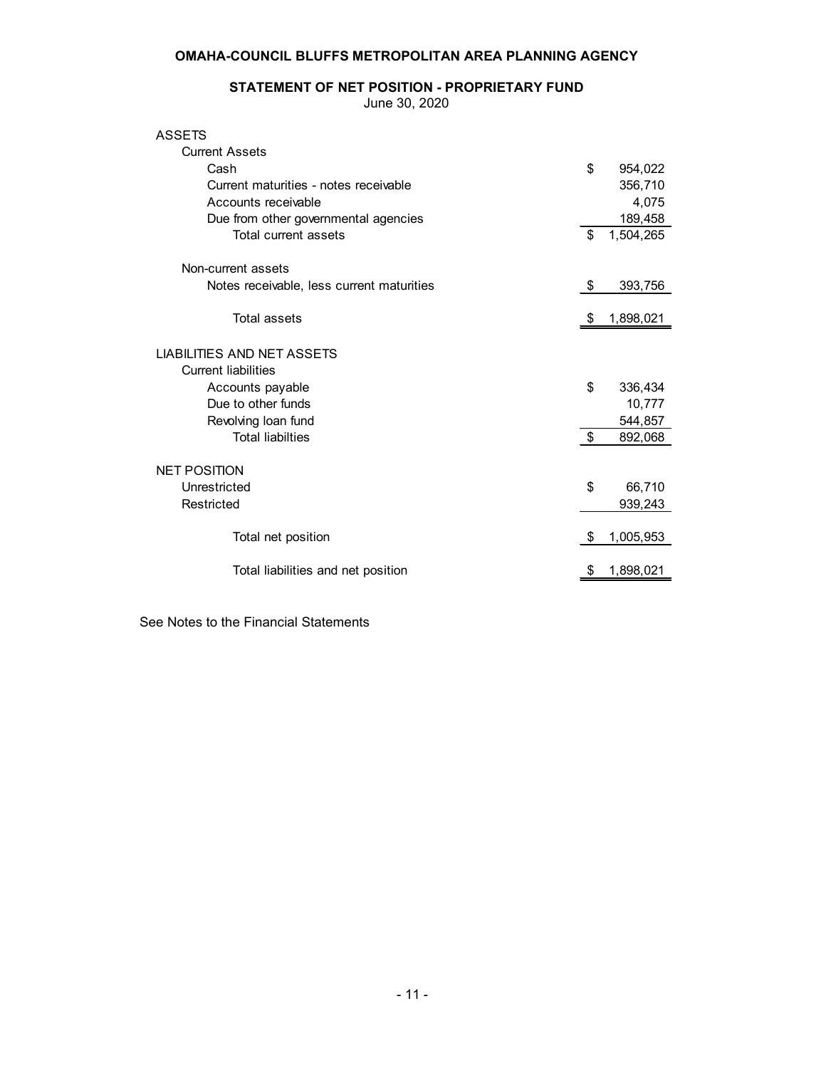# **STATEMENT OF NET POSITION - PROPRIETARY FUND**

June 30, 2020

| <b>ASSETS</b>                             |    |           |
|-------------------------------------------|----|-----------|
| <b>Current Assets</b>                     |    |           |
| Cash                                      | \$ | 954,022   |
| Current maturities - notes receivable     |    | 356,710   |
| Accounts receivable                       |    | 4,075     |
| Due from other governmental agencies      |    | 189,458   |
| Total current assets                      | \$ | 1,504,265 |
| Non-current assets                        |    |           |
| Notes receivable, less current maturities | \$ | 393,756   |
|                                           |    |           |
| <b>Total assets</b>                       | S  | 1,898,021 |
| <b>LIABILITIES AND NET ASSETS</b>         |    |           |
| <b>Current liabilities</b>                |    |           |
|                                           | \$ |           |
| Accounts payable<br>Due to other funds    |    | 336,434   |
|                                           |    | 10,777    |
| Revolving loan fund                       |    | 544,857   |
| <b>Total liabilties</b>                   | \$ | 892,068   |
| <b>NET POSITION</b>                       |    |           |
| Unrestricted                              | \$ | 66,710    |
| Restricted                                |    | 939,243   |
|                                           |    |           |
| Total net position                        | \$ | 1,005,953 |
|                                           |    |           |
| Total liabilities and net position        |    | 1,898,021 |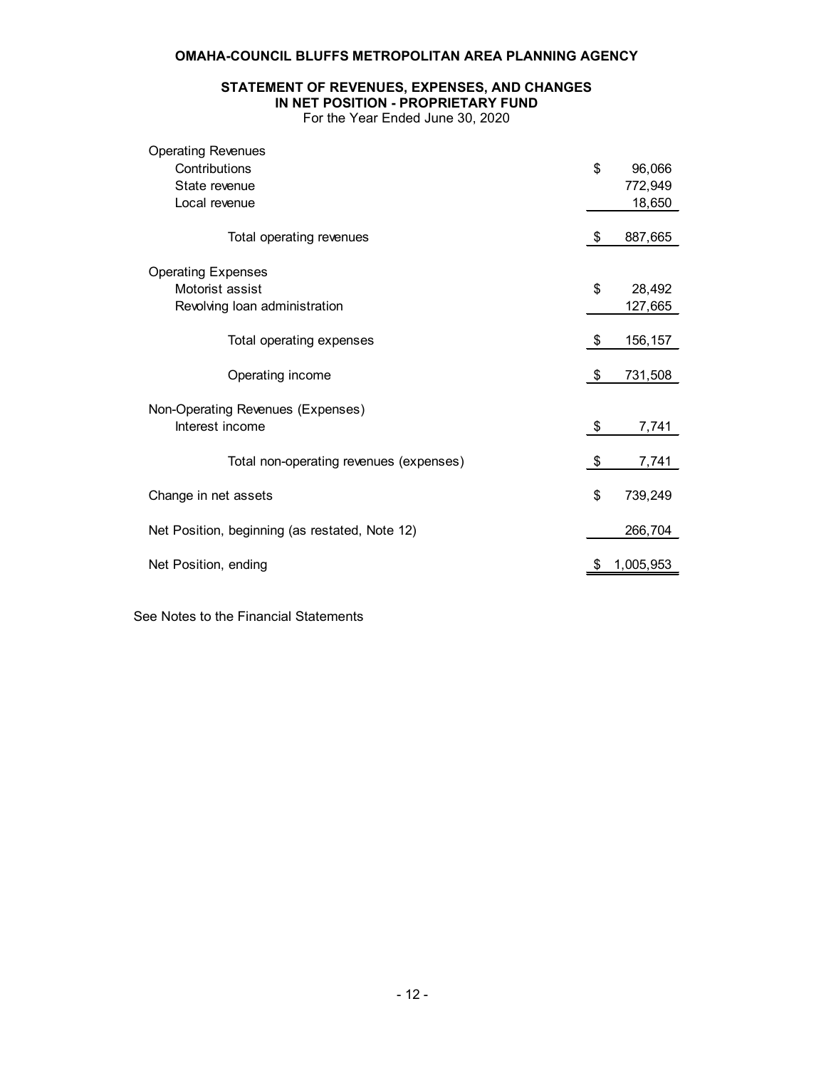### **STATEMENT OF REVENUES, EXPENSES, AND CHANGES IN NET POSITION - PROPRIETARY FUND**

For the Year Ended June 30, 2020

| <b>Operating Revenues</b>                      |     |           |
|------------------------------------------------|-----|-----------|
| Contributions                                  | \$  | 96,066    |
| State revenue                                  |     | 772,949   |
| Local revenue                                  |     | 18,650    |
| Total operating revenues                       | \$  | 887,665   |
| <b>Operating Expenses</b>                      |     |           |
| Motorist assist                                | \$  | 28,492    |
| Revolving loan administration                  |     | 127,665   |
|                                                |     |           |
| Total operating expenses                       | \$  | 156,157   |
| Operating income                               | -\$ | 731,508   |
| Non-Operating Revenues (Expenses)              |     |           |
| Interest income                                | \$  | 7,741     |
| Total non-operating revenues (expenses)        | \$  | 7,741     |
| Change in net assets                           | \$  | 739,249   |
| Net Position, beginning (as restated, Note 12) |     | 266,704   |
| Net Position, ending                           |     | 1,005,953 |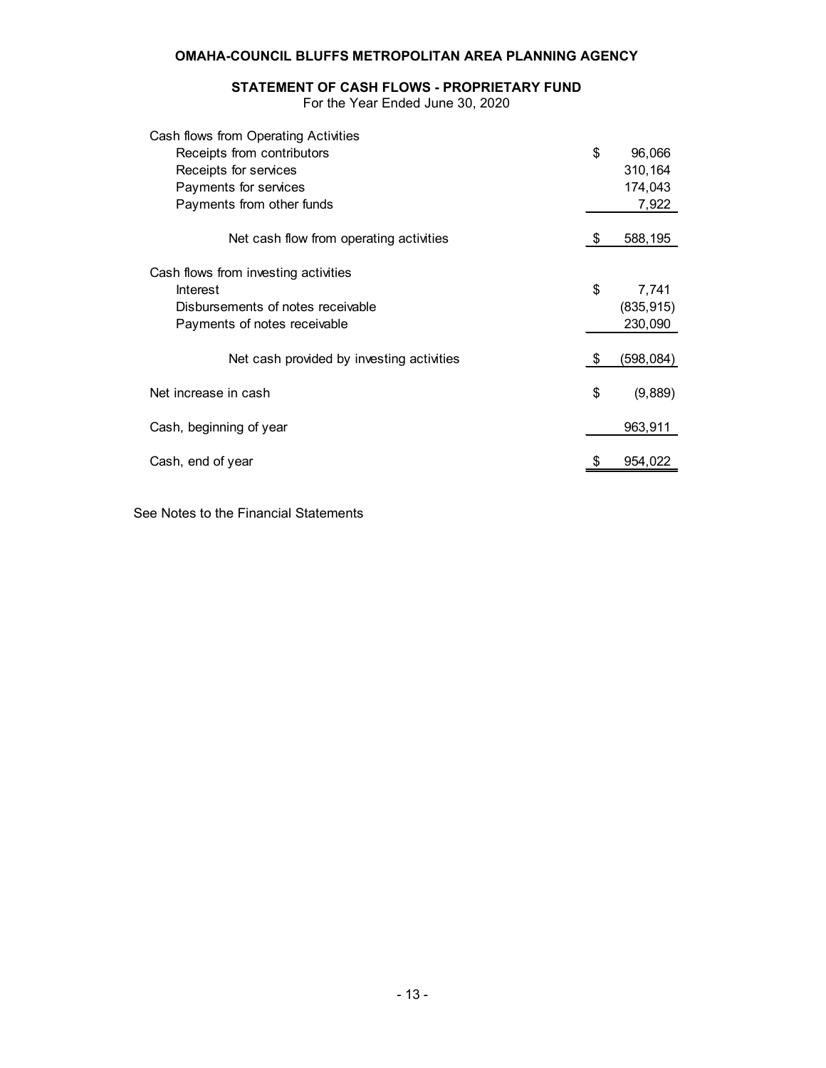# **STATEMENT OF CASH FLOWS - PROPRIETARY FUND**

For the Year Ended June 30, 2020

| Cash flows from Operating Activities      |      |            |
|-------------------------------------------|------|------------|
| Receipts from contributors                | \$   | 96,066     |
| Receipts for services                     |      | 310,164    |
| Payments for services                     |      | 174,043    |
| Payments from other funds                 |      | 7,922      |
| Net cash flow from operating activities   | - \$ | 588,195    |
| Cash flows from investing activities      |      |            |
| <b>Interest</b>                           | \$   | 7,741      |
| Disbursements of notes receivable         |      | (835, 915) |
| Payments of notes receivable              |      | 230,090    |
| Net cash provided by investing activities | - \$ | (598,084)  |
| Net increase in cash                      | \$   | (9,889)    |
| Cash, beginning of year                   |      | 963,911    |
| Cash, end of year                         |      | 954,022    |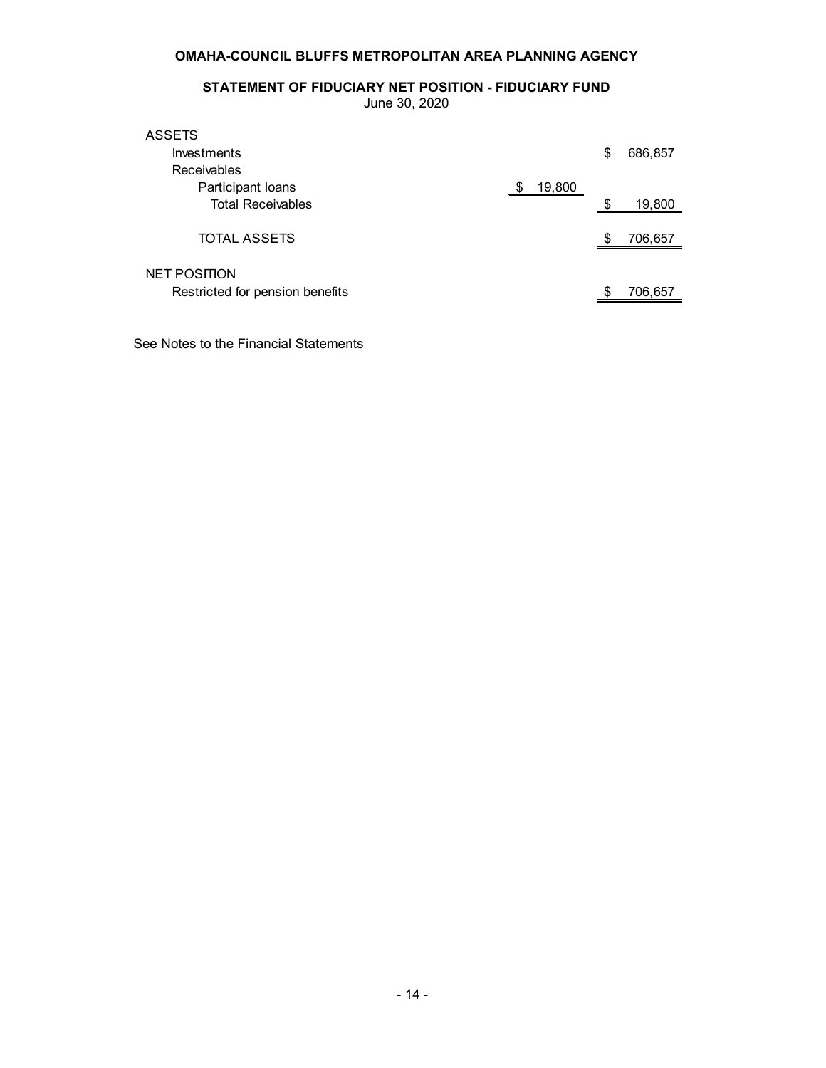# **STATEMENT OF FIDUCIARY NET POSITION - FIDUCIARY FUND**

June 30, 2020

| <b>ASSETS</b>                   |        |    |         |
|---------------------------------|--------|----|---------|
| Investments                     |        | \$ | 686,857 |
| <b>Receivables</b>              |        |    |         |
| Participant loans               | 19,800 |    |         |
| <b>Total Receivables</b>        |        | S  | 19,800  |
|                                 |        |    |         |
| <b>TOTAL ASSETS</b>             |        |    | 706,657 |
|                                 |        |    |         |
| <b>NET POSITION</b>             |        |    |         |
| Restricted for pension benefits |        |    | 706,657 |
|                                 |        |    |         |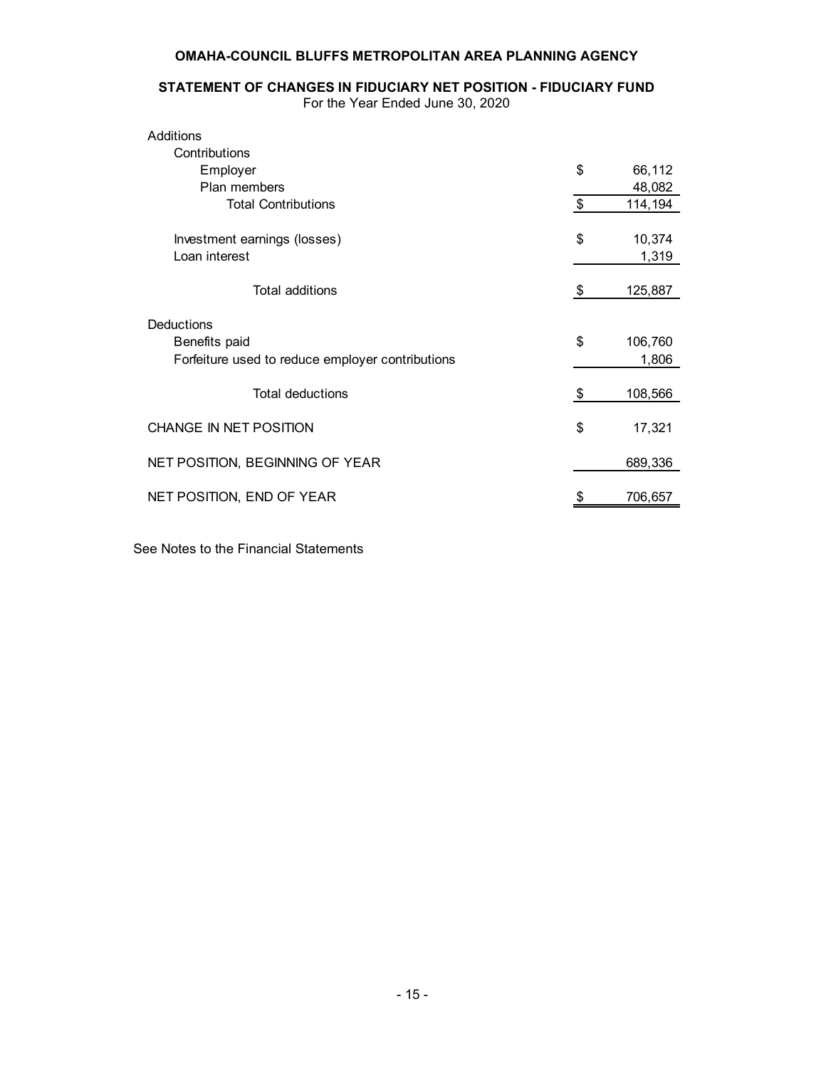# **STATEMENT OF CHANGES IN FIDUCIARY NET POSITION - FIDUCIARY FUND**

For the Year Ended June 30, 2020

| Contributions<br>\$<br>Employer<br>66,112<br>Plan members<br>48,082<br>\$<br><b>Total Contributions</b><br>114,194<br>\$<br>10,374<br>Investment earnings (losses)<br>Loan interest<br>1,319<br>Total additions<br>125,887<br>\$<br>Deductions<br>\$<br>106,760<br>Benefits paid<br>1,806<br>Forfeiture used to reduce employer contributions<br><b>Total deductions</b><br>108,566<br>\$<br>CHANGE IN NET POSITION<br>\$<br>17,321 | <b>Additions</b> |  |
|-------------------------------------------------------------------------------------------------------------------------------------------------------------------------------------------------------------------------------------------------------------------------------------------------------------------------------------------------------------------------------------------------------------------------------------|------------------|--|
|                                                                                                                                                                                                                                                                                                                                                                                                                                     |                  |  |
|                                                                                                                                                                                                                                                                                                                                                                                                                                     |                  |  |
|                                                                                                                                                                                                                                                                                                                                                                                                                                     |                  |  |
|                                                                                                                                                                                                                                                                                                                                                                                                                                     |                  |  |
|                                                                                                                                                                                                                                                                                                                                                                                                                                     |                  |  |
|                                                                                                                                                                                                                                                                                                                                                                                                                                     |                  |  |
|                                                                                                                                                                                                                                                                                                                                                                                                                                     |                  |  |
|                                                                                                                                                                                                                                                                                                                                                                                                                                     |                  |  |
|                                                                                                                                                                                                                                                                                                                                                                                                                                     |                  |  |
|                                                                                                                                                                                                                                                                                                                                                                                                                                     |                  |  |
|                                                                                                                                                                                                                                                                                                                                                                                                                                     |                  |  |
|                                                                                                                                                                                                                                                                                                                                                                                                                                     |                  |  |
|                                                                                                                                                                                                                                                                                                                                                                                                                                     |                  |  |
|                                                                                                                                                                                                                                                                                                                                                                                                                                     |                  |  |
|                                                                                                                                                                                                                                                                                                                                                                                                                                     |                  |  |
|                                                                                                                                                                                                                                                                                                                                                                                                                                     |                  |  |
|                                                                                                                                                                                                                                                                                                                                                                                                                                     |                  |  |
| 689,336<br>NET POSITION, BEGINNING OF YEAR                                                                                                                                                                                                                                                                                                                                                                                          |                  |  |
|                                                                                                                                                                                                                                                                                                                                                                                                                                     |                  |  |
| NET POSITION, END OF YEAR<br>706,657                                                                                                                                                                                                                                                                                                                                                                                                |                  |  |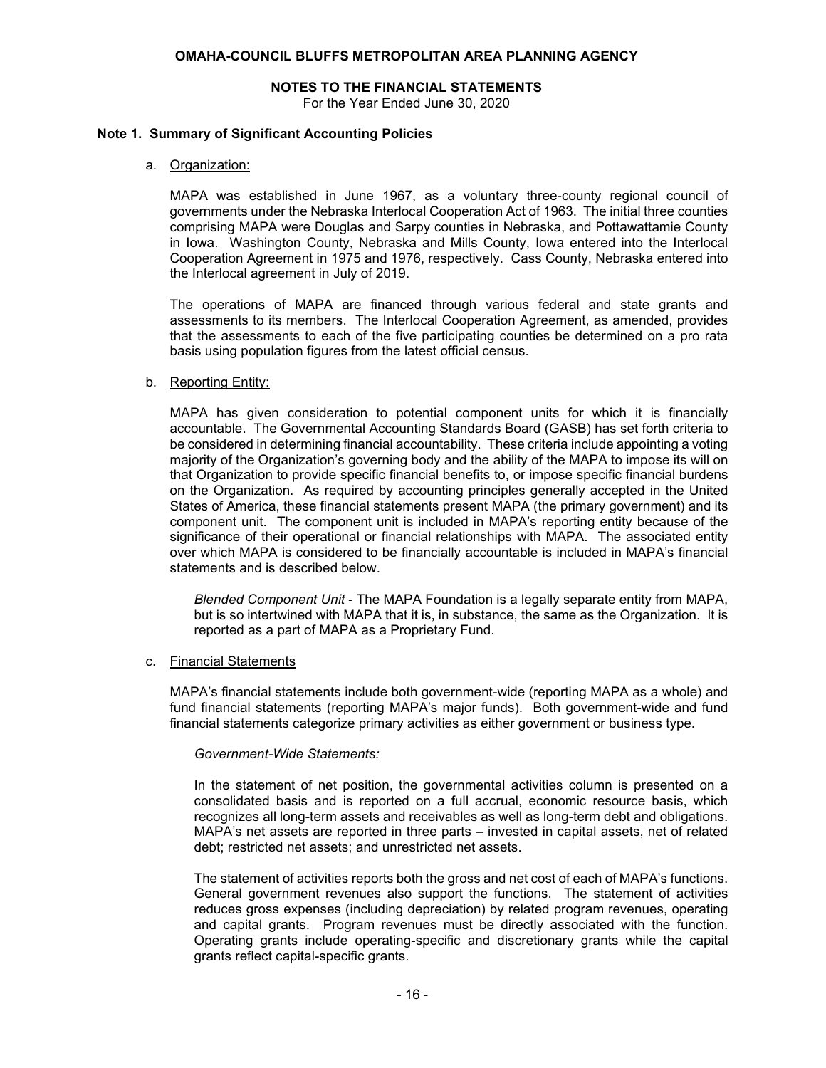### **NOTES TO THE FINANCIAL STATEMENTS**

For the Year Ended June 30, 2020

# **Note 1. Summary of Significant Accounting Policies**

#### a. Organization:

MAPA was established in June 1967, as a voluntary three-county regional council of governments under the Nebraska Interlocal Cooperation Act of 1963. The initial three counties comprising MAPA were Douglas and Sarpy counties in Nebraska, and Pottawattamie County in Iowa. Washington County, Nebraska and Mills County, Iowa entered into the Interlocal Cooperation Agreement in 1975 and 1976, respectively. Cass County, Nebraska entered into the Interlocal agreement in July of 2019.

The operations of MAPA are financed through various federal and state grants and assessments to its members. The Interlocal Cooperation Agreement, as amended, provides that the assessments to each of the five participating counties be determined on a pro rata basis using population figures from the latest official census.

#### b. Reporting Entity:

MAPA has given consideration to potential component units for which it is financially accountable. The Governmental Accounting Standards Board (GASB) has set forth criteria to be considered in determining financial accountability. These criteria include appointing a voting majority of the Organization's governing body and the ability of the MAPA to impose its will on that Organization to provide specific financial benefits to, or impose specific financial burdens on the Organization. As required by accounting principles generally accepted in the United States of America, these financial statements present MAPA (the primary government) and its component unit. The component unit is included in MAPA's reporting entity because of the significance of their operational or financial relationships with MAPA. The associated entity over which MAPA is considered to be financially accountable is included in MAPA's financial statements and is described below.

*Blended Component Unit* - The MAPA Foundation is a legally separate entity from MAPA, but is so intertwined with MAPA that it is, in substance, the same as the Organization. It is reported as a part of MAPA as a Proprietary Fund.

#### c. Financial Statements

MAPA's financial statements include both government-wide (reporting MAPA as a whole) and fund financial statements (reporting MAPA's major funds). Both government-wide and fund financial statements categorize primary activities as either government or business type.

#### *Government-Wide Statements:*

In the statement of net position, the governmental activities column is presented on a consolidated basis and is reported on a full accrual, economic resource basis, which recognizes all long-term assets and receivables as well as long-term debt and obligations. MAPA's net assets are reported in three parts – invested in capital assets, net of related debt; restricted net assets; and unrestricted net assets.

The statement of activities reports both the gross and net cost of each of MAPA's functions. General government revenues also support the functions. The statement of activities reduces gross expenses (including depreciation) by related program revenues, operating and capital grants. Program revenues must be directly associated with the function. Operating grants include operating-specific and discretionary grants while the capital grants reflect capital-specific grants.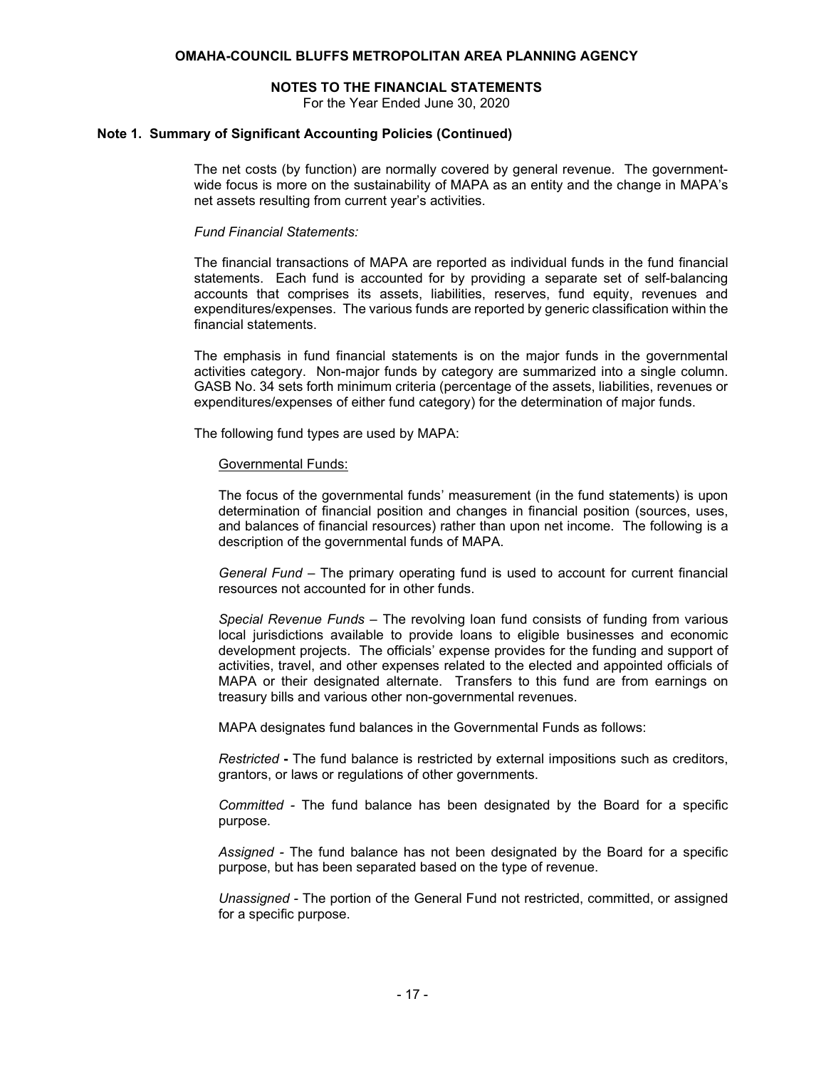### **NOTES TO THE FINANCIAL STATEMENTS**

For the Year Ended June 30, 2020

#### **Note 1. Summary of Significant Accounting Policies (Continued)**

The net costs (by function) are normally covered by general revenue. The governmentwide focus is more on the sustainability of MAPA as an entity and the change in MAPA's net assets resulting from current year's activities.

#### *Fund Financial Statements:*

The financial transactions of MAPA are reported as individual funds in the fund financial statements. Each fund is accounted for by providing a separate set of self-balancing accounts that comprises its assets, liabilities, reserves, fund equity, revenues and expenditures/expenses. The various funds are reported by generic classification within the financial statements.

The emphasis in fund financial statements is on the major funds in the governmental activities category. Non-major funds by category are summarized into a single column. GASB No. 34 sets forth minimum criteria (percentage of the assets, liabilities, revenues or expenditures/expenses of either fund category) for the determination of major funds.

The following fund types are used by MAPA:

#### Governmental Funds:

The focus of the governmental funds' measurement (in the fund statements) is upon determination of financial position and changes in financial position (sources, uses, and balances of financial resources) rather than upon net income. The following is a description of the governmental funds of MAPA.

*General Fund* – The primary operating fund is used to account for current financial resources not accounted for in other funds.

*Special Revenue Funds* – The revolving loan fund consists of funding from various local jurisdictions available to provide loans to eligible businesses and economic development projects. The officials' expense provides for the funding and support of activities, travel, and other expenses related to the elected and appointed officials of MAPA or their designated alternate. Transfers to this fund are from earnings on treasury bills and various other non-governmental revenues.

MAPA designates fund balances in the Governmental Funds as follows:

*Restricted* **-** The fund balance is restricted by external impositions such as creditors, grantors, or laws or regulations of other governments.

*Committed -* The fund balance has been designated by the Board for a specific purpose.

*Assigned -* The fund balance has not been designated by the Board for a specific purpose, but has been separated based on the type of revenue.

*Unassigned -* The portion of the General Fund not restricted, committed, or assigned for a specific purpose.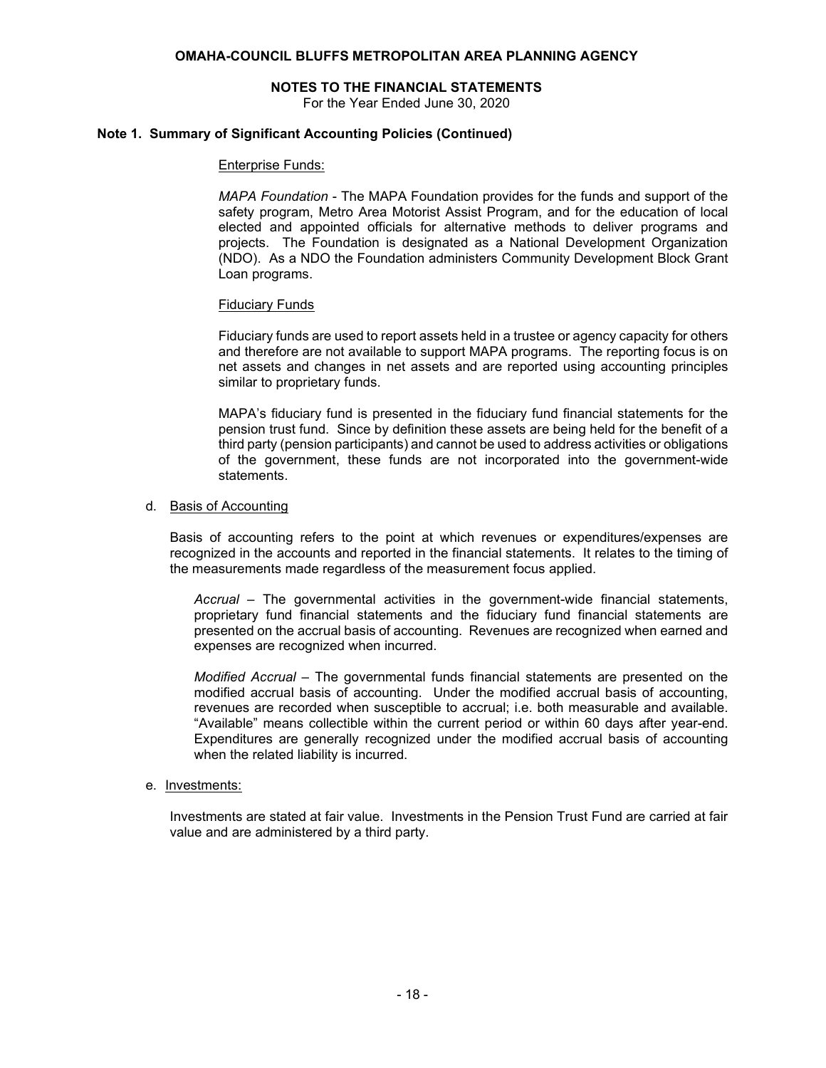### **NOTES TO THE FINANCIAL STATEMENTS**

For the Year Ended June 30, 2020

### **Note 1. Summary of Significant Accounting Policies (Continued)**

#### Enterprise Funds:

*MAPA Foundation* - The MAPA Foundation provides for the funds and support of the safety program, Metro Area Motorist Assist Program, and for the education of local elected and appointed officials for alternative methods to deliver programs and projects. The Foundation is designated as a National Development Organization (NDO). As a NDO the Foundation administers Community Development Block Grant Loan programs.

#### Fiduciary Funds

Fiduciary funds are used to report assets held in a trustee or agency capacity for others and therefore are not available to support MAPA programs. The reporting focus is on net assets and changes in net assets and are reported using accounting principles similar to proprietary funds.

MAPA's fiduciary fund is presented in the fiduciary fund financial statements for the pension trust fund. Since by definition these assets are being held for the benefit of a third party (pension participants) and cannot be used to address activities or obligations of the government, these funds are not incorporated into the government-wide statements.

#### d. Basis of Accounting

Basis of accounting refers to the point at which revenues or expenditures/expenses are recognized in the accounts and reported in the financial statements. It relates to the timing of the measurements made regardless of the measurement focus applied.

*Accrual* – The governmental activities in the government-wide financial statements, proprietary fund financial statements and the fiduciary fund financial statements are presented on the accrual basis of accounting. Revenues are recognized when earned and expenses are recognized when incurred.

*Modified Accrual* – The governmental funds financial statements are presented on the modified accrual basis of accounting. Under the modified accrual basis of accounting, revenues are recorded when susceptible to accrual; i.e. both measurable and available. "Available" means collectible within the current period or within 60 days after year-end. Expenditures are generally recognized under the modified accrual basis of accounting when the related liability is incurred.

### e. Investments:

Investments are stated at fair value. Investments in the Pension Trust Fund are carried at fair value and are administered by a third party.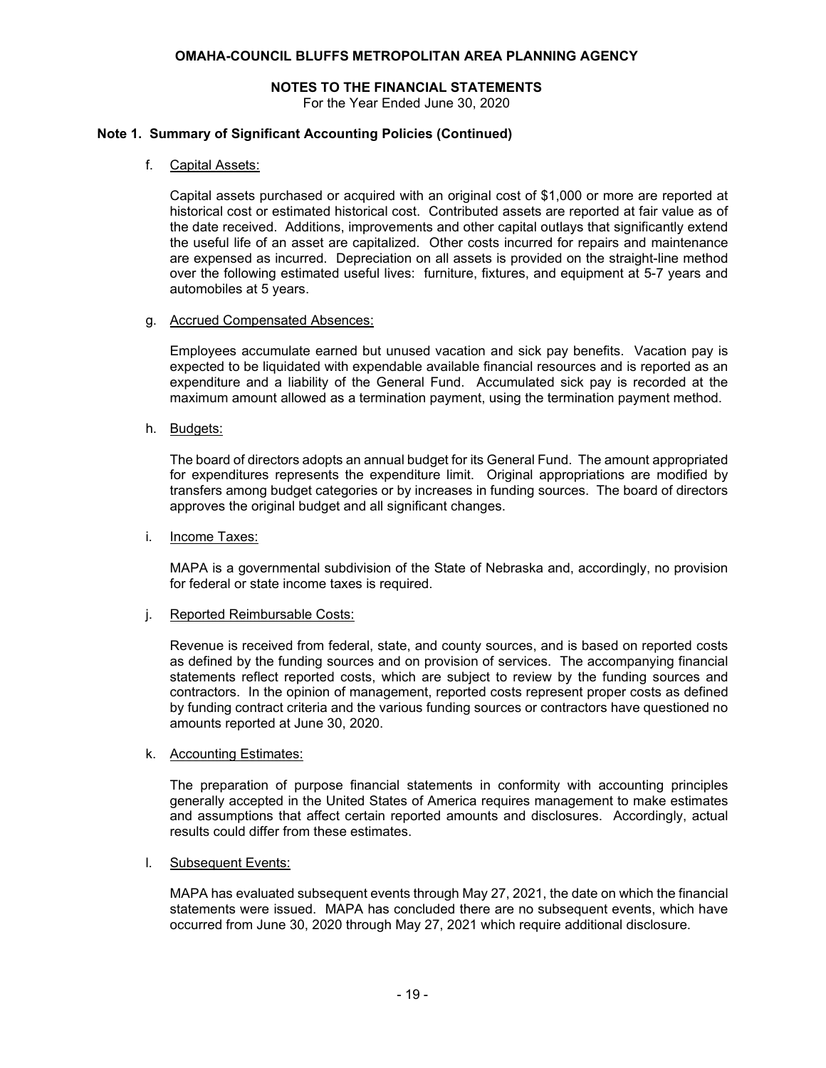### **NOTES TO THE FINANCIAL STATEMENTS**

For the Year Ended June 30, 2020

### **Note 1. Summary of Significant Accounting Policies (Continued)**

f. Capital Assets:

Capital assets purchased or acquired with an original cost of \$1,000 or more are reported at historical cost or estimated historical cost. Contributed assets are reported at fair value as of the date received. Additions, improvements and other capital outlays that significantly extend the useful life of an asset are capitalized. Other costs incurred for repairs and maintenance are expensed as incurred. Depreciation on all assets is provided on the straight-line method over the following estimated useful lives: furniture, fixtures, and equipment at 5-7 years and automobiles at 5 years.

#### g. Accrued Compensated Absences:

Employees accumulate earned but unused vacation and sick pay benefits. Vacation pay is expected to be liquidated with expendable available financial resources and is reported as an expenditure and a liability of the General Fund. Accumulated sick pay is recorded at the maximum amount allowed as a termination payment, using the termination payment method.

h. Budgets:

The board of directors adopts an annual budget for its General Fund. The amount appropriated for expenditures represents the expenditure limit. Original appropriations are modified by transfers among budget categories or by increases in funding sources. The board of directors approves the original budget and all significant changes.

i. Income Taxes:

MAPA is a governmental subdivision of the State of Nebraska and, accordingly, no provision for federal or state income taxes is required.

#### j. Reported Reimbursable Costs:

Revenue is received from federal, state, and county sources, and is based on reported costs as defined by the funding sources and on provision of services. The accompanying financial statements reflect reported costs, which are subject to review by the funding sources and contractors. In the opinion of management, reported costs represent proper costs as defined by funding contract criteria and the various funding sources or contractors have questioned no amounts reported at June 30, 2020.

#### k. Accounting Estimates:

The preparation of purpose financial statements in conformity with accounting principles generally accepted in the United States of America requires management to make estimates and assumptions that affect certain reported amounts and disclosures. Accordingly, actual results could differ from these estimates.

### l. Subsequent Events:

MAPA has evaluated subsequent events through May 27, 2021, the date on which the financial statements were issued. MAPA has concluded there are no subsequent events, which have occurred from June 30, 2020 through May 27, 2021 which require additional disclosure.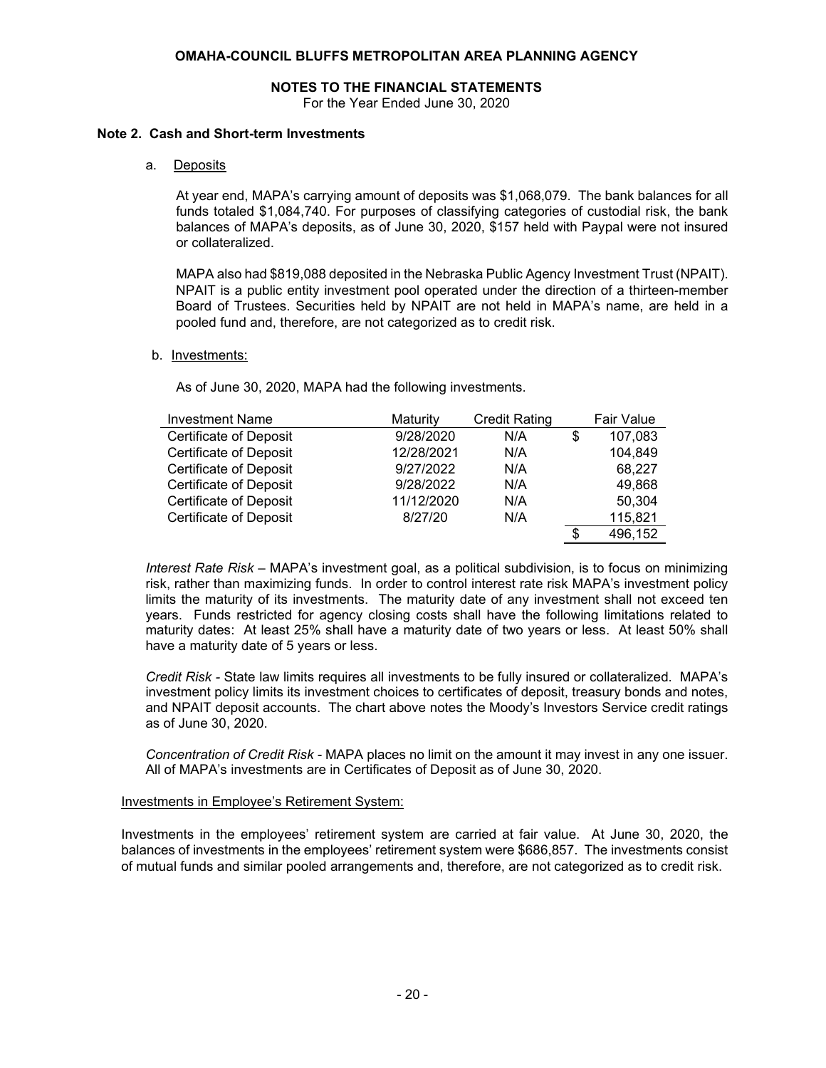### **NOTES TO THE FINANCIAL STATEMENTS**

For the Year Ended June 30, 2020

### **Note 2. Cash and Short-term Investments**

a. Deposits

At year end, MAPA's carrying amount of deposits was \$1,068,079. The bank balances for all funds totaled \$1,084,740. For purposes of classifying categories of custodial risk, the bank balances of MAPA's deposits, as of June 30, 2020, \$157 held with Paypal were not insured or collateralized.

MAPA also had \$819,088 deposited in the Nebraska Public Agency Investment Trust (NPAIT). NPAIT is a public entity investment pool operated under the direction of a thirteen-member Board of Trustees. Securities held by NPAIT are not held in MAPA's name, are held in a pooled fund and, therefore, are not categorized as to credit risk.

### b. Investments:

As of June 30, 2020, MAPA had the following investments.

| <b>Investment Name</b>        | Maturity   | <b>Credit Rating</b> | <b>Fair Value</b> |
|-------------------------------|------------|----------------------|-------------------|
| Certificate of Deposit        | 9/28/2020  | N/A                  | \$<br>107,083     |
| <b>Certificate of Deposit</b> | 12/28/2021 | N/A                  | 104,849           |
| <b>Certificate of Deposit</b> | 9/27/2022  | N/A                  | 68,227            |
| Certificate of Deposit        | 9/28/2022  | N/A                  | 49,868            |
| <b>Certificate of Deposit</b> | 11/12/2020 | N/A                  | 50,304            |
| <b>Certificate of Deposit</b> | 8/27/20    | N/A                  | 115,821           |
|                               |            |                      | 496,152           |

*Interest Rate Risk* – MAPA's investment goal, as a political subdivision, is to focus on minimizing risk, rather than maximizing funds. In order to control interest rate risk MAPA's investment policy limits the maturity of its investments. The maturity date of any investment shall not exceed ten years. Funds restricted for agency closing costs shall have the following limitations related to maturity dates: At least 25% shall have a maturity date of two years or less. At least 50% shall have a maturity date of 5 years or less.

*Credit Risk -* State law limits requires all investments to be fully insured or collateralized. MAPA's investment policy limits its investment choices to certificates of deposit, treasury bonds and notes, and NPAIT deposit accounts. The chart above notes the Moody's Investors Service credit ratings as of June 30, 2020.

*Concentration of Credit Risk -* MAPA places no limit on the amount it may invest in any one issuer. All of MAPA's investments are in Certificates of Deposit as of June 30, 2020.

#### Investments in Employee's Retirement System:

Investments in the employees' retirement system are carried at fair value. At June 30, 2020, the balances of investments in the employees' retirement system were \$686,857. The investments consist of mutual funds and similar pooled arrangements and, therefore, are not categorized as to credit risk.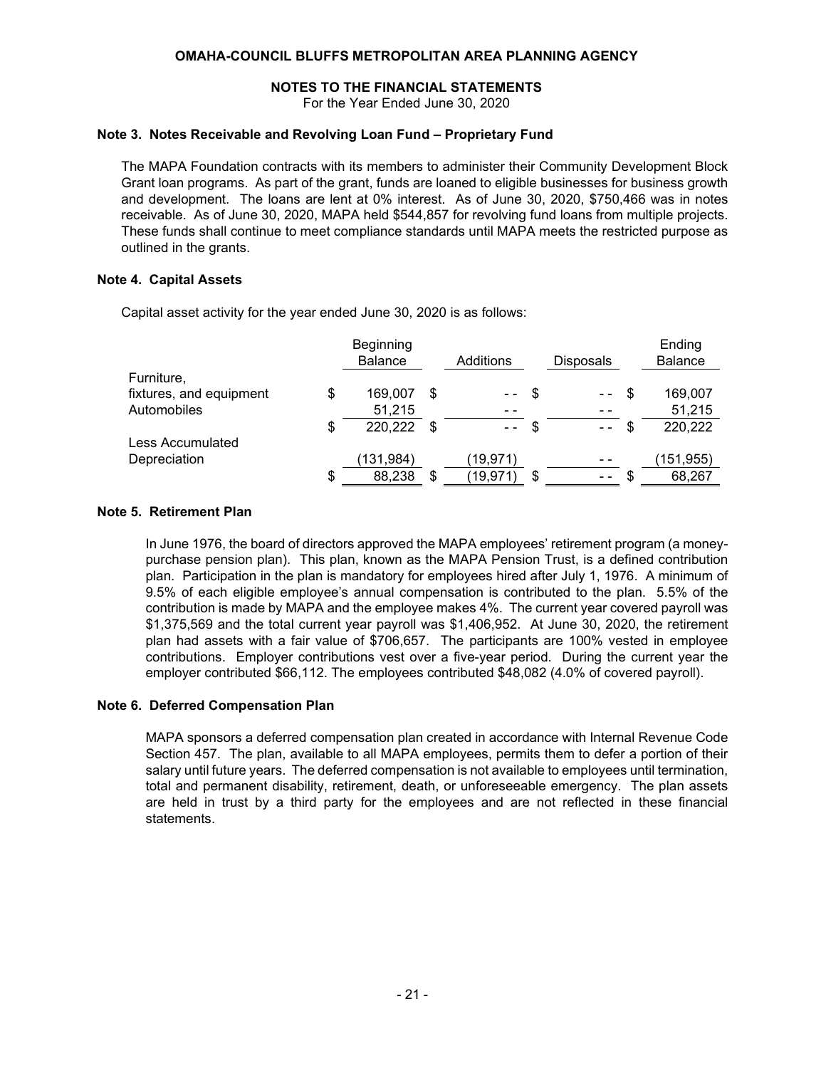### **NOTES TO THE FINANCIAL STATEMENTS**

For the Year Ended June 30, 2020

### **Note 3. Notes Receivable and Revolving Loan Fund – Proprietary Fund**

The MAPA Foundation contracts with its members to administer their Community Development Block Grant loan programs. As part of the grant, funds are loaned to eligible businesses for business growth and development. The loans are lent at 0% interest. As of June 30, 2020, \$750,466 was in notes receivable. As of June 30, 2020, MAPA held \$544,857 for revolving fund loans from multiple projects. These funds shall continue to meet compliance standards until MAPA meets the restricted purpose as outlined in the grants.

### **Note 4. Capital Assets**

Capital asset activity for the year ended June 30, 2020 is as follows:

|                         | Beginning<br><b>Balance</b> |      | Additions | <b>Disposals</b> |     | Ending<br><b>Balance</b> |
|-------------------------|-----------------------------|------|-----------|------------------|-----|--------------------------|
| Furniture,              |                             |      |           |                  |     |                          |
| fixtures, and equipment | \$<br>169.007               | -S   | -- \$     | $--$ \$          |     | 169,007                  |
| Automobiles             | 51,215                      |      |           |                  |     | 51,215                   |
|                         | \$<br>220,222               | - \$ | -- \$     | $ -$             | \$. | 220,222                  |
| Less Accumulated        |                             |      |           |                  |     |                          |
| Depreciation            | (131, 984)                  |      | (19,971)  |                  |     | (151,955)                |
|                         | \$<br>88,238                | \$   | (19, 971) | \$               |     | 68,267                   |

### **Note 5. Retirement Plan**

In June 1976, the board of directors approved the MAPA employees' retirement program (a moneypurchase pension plan). This plan, known as the MAPA Pension Trust, is a defined contribution plan. Participation in the plan is mandatory for employees hired after July 1, 1976. A minimum of 9.5% of each eligible employee's annual compensation is contributed to the plan. 5.5% of the contribution is made by MAPA and the employee makes 4%. The current year covered payroll was \$1,375,569 and the total current year payroll was \$1,406,952. At June 30, 2020, the retirement plan had assets with a fair value of \$706,657. The participants are 100% vested in employee contributions. Employer contributions vest over a five-year period. During the current year the employer contributed \$66,112. The employees contributed \$48,082 (4.0% of covered payroll).

### **Note 6. Deferred Compensation Plan**

MAPA sponsors a deferred compensation plan created in accordance with Internal Revenue Code Section 457. The plan, available to all MAPA employees, permits them to defer a portion of their salary until future years. The deferred compensation is not available to employees until termination, total and permanent disability, retirement, death, or unforeseeable emergency. The plan assets are held in trust by a third party for the employees and are not reflected in these financial statements.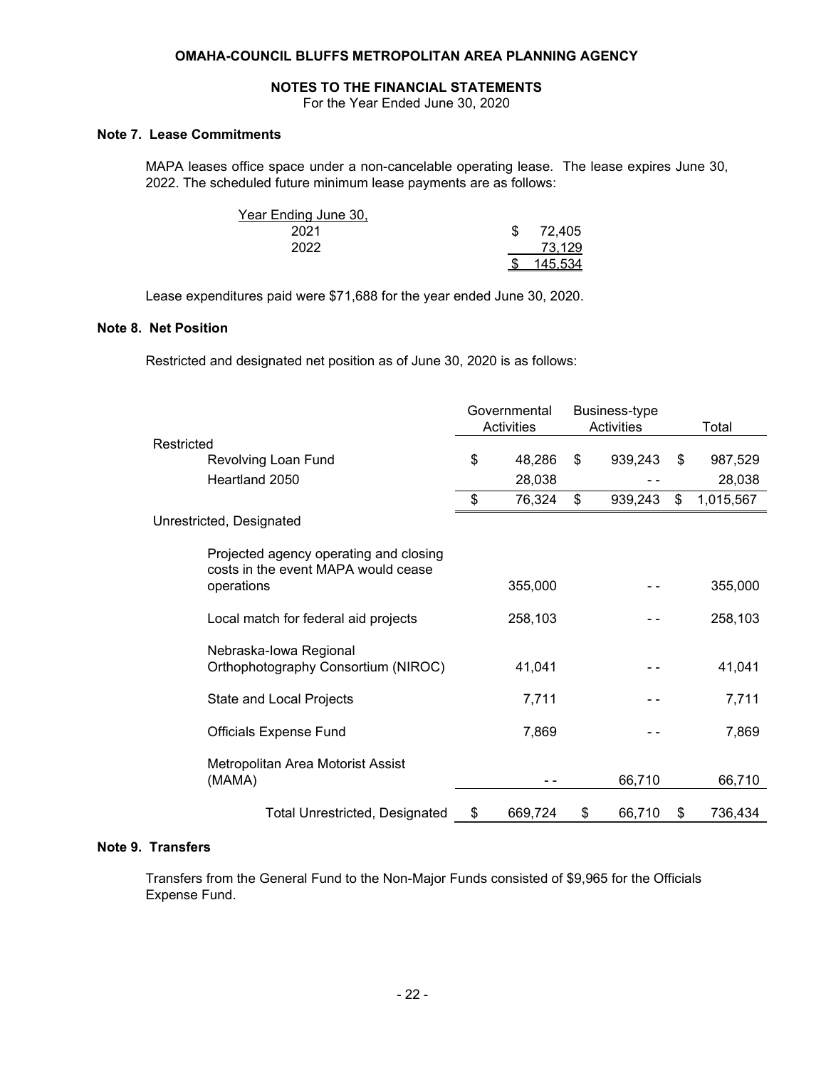### **NOTES TO THE FINANCIAL STATEMENTS**

For the Year Ended June 30, 2020

### **Note 7. Lease Commitments**

MAPA leases office space under a non-cancelable operating lease. The lease expires June 30, 2022. The scheduled future minimum lease payments are as follows:

| Year Ending June 30, |                |
|----------------------|----------------|
| 2021                 | 72.405         |
| 2022                 | 73.129         |
|                      | <u>145,534</u> |

Lease expenditures paid were \$71,688 for the year ended June 30, 2020.

### **Note 8. Net Position**

Restricted and designated net position as of June 30, 2020 is as follows:

|                                             |                                                                               | Governmental<br>Business-type |            |         |    |           |
|---------------------------------------------|-------------------------------------------------------------------------------|-------------------------------|------------|---------|----|-----------|
|                                             |                                                                               | <b>Activities</b>             | Activities |         |    | Total     |
| Restricted                                  |                                                                               |                               |            |         |    |           |
| Revolving Loan Fund                         |                                                                               | \$<br>48,286                  | \$         | 939,243 | \$ | 987,529   |
| Heartland 2050                              |                                                                               | 28,038                        |            |         |    | 28,038    |
|                                             |                                                                               | \$<br>76,324                  | \$         | 939,243 | \$ | 1,015,567 |
| Unrestricted, Designated                    |                                                                               |                               |            |         |    |           |
|                                             | Projected agency operating and closing<br>costs in the event MAPA would cease |                               |            |         |    |           |
| operations                                  |                                                                               | 355,000                       |            |         |    | 355,000   |
| Local match for federal aid projects        |                                                                               | 258,103                       |            |         |    | 258,103   |
| Nebraska-lowa Regional                      |                                                                               |                               |            |         |    |           |
|                                             | Orthophotography Consortium (NIROC)                                           | 41,041                        |            |         |    | 41,041    |
| State and Local Projects                    |                                                                               | 7,711                         |            |         |    | 7,711     |
| <b>Officials Expense Fund</b>               |                                                                               | 7,869                         |            |         |    | 7,869     |
| Metropolitan Area Motorist Assist<br>(MAMA) |                                                                               |                               |            | 66,710  |    | 66,710    |
|                                             | <b>Total Unrestricted, Designated</b>                                         | \$<br>669,724                 | \$         | 66,710  | \$ | 736,434   |

# **Note 9. Transfers**

Transfers from the General Fund to the Non-Major Funds consisted of \$9,965 for the Officials Expense Fund.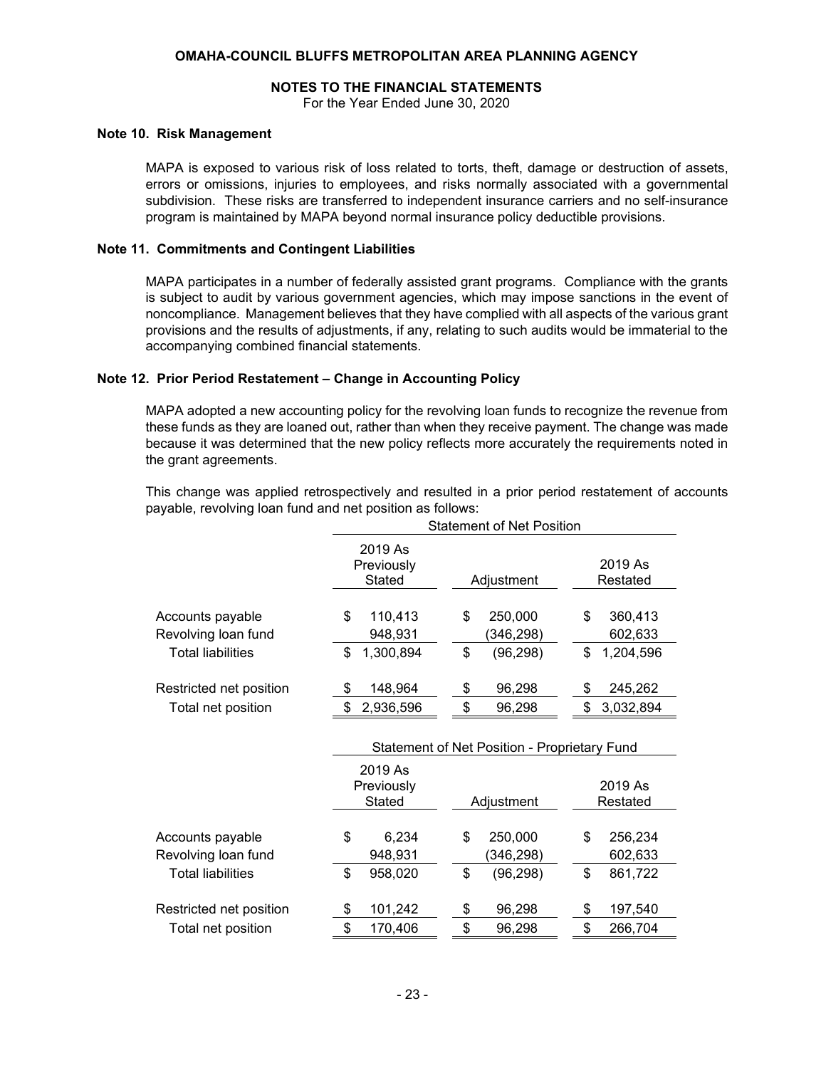### **NOTES TO THE FINANCIAL STATEMENTS**

For the Year Ended June 30, 2020

#### **Note 10. Risk Management**

MAPA is exposed to various risk of loss related to torts, theft, damage or destruction of assets, errors or omissions, injuries to employees, and risks normally associated with a governmental subdivision. These risks are transferred to independent insurance carriers and no self-insurance program is maintained by MAPA beyond normal insurance policy deductible provisions.

#### **Note 11. Commitments and Contingent Liabilities**

MAPA participates in a number of federally assisted grant programs. Compliance with the grants is subject to audit by various government agencies, which may impose sanctions in the event of noncompliance. Management believes that they have complied with all aspects of the various grant provisions and the results of adjustments, if any, relating to such audits would be immaterial to the accompanying combined financial statements.

# **Note 12. Prior Period Restatement – Change in Accounting Policy**

MAPA adopted a new accounting policy for the revolving loan funds to recognize the revenue from these funds as they are loaned out, rather than when they receive payment. The change was made because it was determined that the new policy reflects more accurately the requirements noted in the grant agreements.

This change was applied retrospectively and resulted in a prior period restatement of accounts payable, revolving loan fund and net position as follows:

|                          | <b>Statement of Net Position</b> |                                              |                     |  |  |  |  |  |  |
|--------------------------|----------------------------------|----------------------------------------------|---------------------|--|--|--|--|--|--|
|                          | 2019 As<br>Previously<br>Stated  | Adjustment                                   | 2019 As<br>Restated |  |  |  |  |  |  |
| Accounts payable         | \$<br>110,413                    | \$<br>250,000                                | \$<br>360,413       |  |  |  |  |  |  |
| Revolving loan fund      | 948,931                          | (346, 298)                                   | 602,633             |  |  |  |  |  |  |
| <b>Total liabilities</b> | \$<br>1,300,894                  | \$<br>(96, 298)                              | \$<br>1,204,596     |  |  |  |  |  |  |
| Restricted net position  | 148,964<br>\$                    | 96,298<br>\$                                 | 245,262<br>\$       |  |  |  |  |  |  |
| Total net position       | 2,936,596                        | \$<br>96,298                                 | \$<br>3,032,894     |  |  |  |  |  |  |
|                          |                                  | Statement of Net Position - Proprietary Fund |                     |  |  |  |  |  |  |
|                          | 2019 As<br>Previously<br>Stated  | 2019 As<br>Adjustment                        |                     |  |  |  |  |  |  |
|                          |                                  |                                              | Restated            |  |  |  |  |  |  |
| Accounts payable         | \$<br>6,234                      | \$<br>250,000                                | \$<br>256,234       |  |  |  |  |  |  |
| Revolving loan fund      | 948,931                          | (346,298)                                    | 602,633             |  |  |  |  |  |  |
| <b>Total liabilities</b> | \$<br>958,020                    | \$<br>(96, 298)                              | \$<br>861,722       |  |  |  |  |  |  |
| Restricted net position  | 101,242<br>\$                    | \$<br>96,298                                 | \$<br>197,540       |  |  |  |  |  |  |
| Total net position       | \$<br>170,406                    | \$<br>96,298                                 | \$<br>266,704       |  |  |  |  |  |  |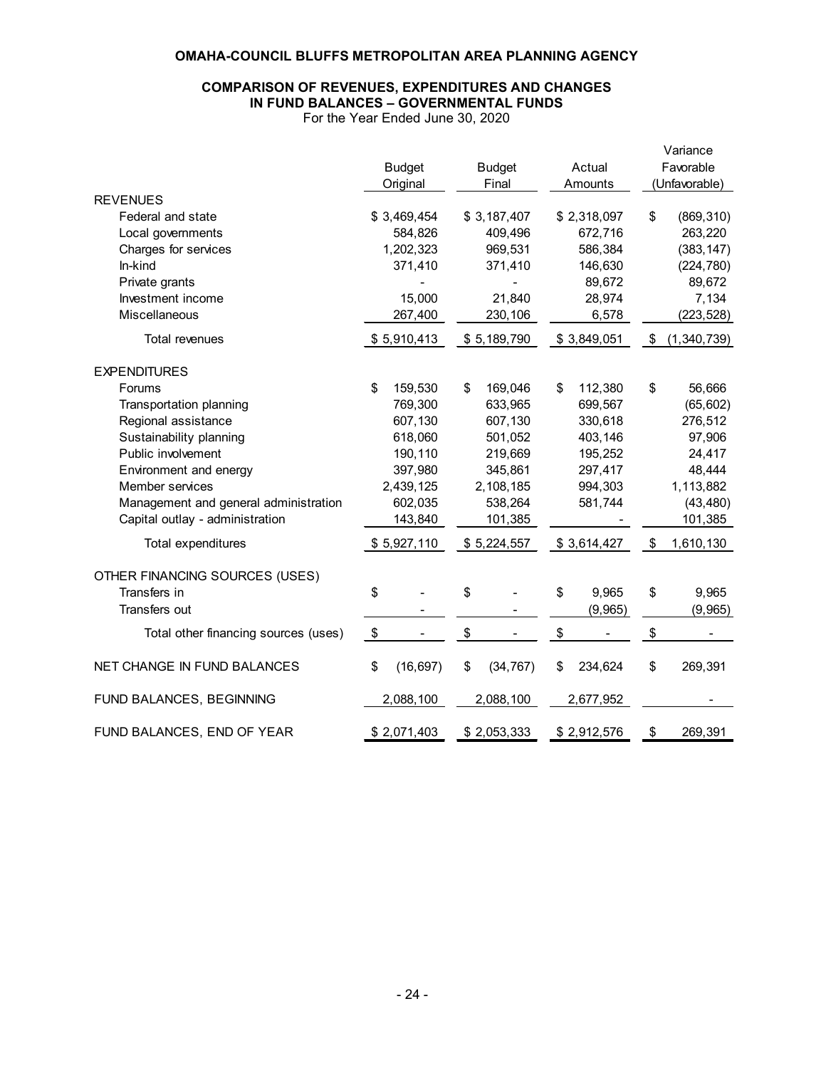# **COMPARISON OF REVENUES, EXPENDITURES AND CHANGES IN FUND BALANCES – GOVERNMENTAL FUNDS**

|                                       |                 |                 |               | Variance                   |
|---------------------------------------|-----------------|-----------------|---------------|----------------------------|
|                                       | <b>Budget</b>   | <b>Budget</b>   | Actual        | Favorable                  |
|                                       | Original        | Final           | Amounts       | (Unfavorable)              |
| <b>REVENUES</b>                       |                 |                 |               |                            |
| Federal and state                     | \$3,469,454     | \$3,187,407     | \$2,318,097   | \$<br>(869, 310)           |
| Local governments                     | 584,826         | 409,496         | 672,716       | 263,220                    |
| Charges for services                  | 1,202,323       | 969,531         | 586,384       | (383, 147)                 |
| In-kind                               | 371,410         | 371,410         | 146,630       | (224, 780)                 |
| Private grants                        |                 |                 | 89,672        | 89,672                     |
| Investment income                     | 15,000          | 21,840          | 28,974        | 7,134                      |
| Miscellaneous                         | 267,400         | 230,106         | 6,578         | (223, 528)                 |
| <b>Total revenues</b>                 | \$5,910,413     | \$5,189,790     | \$3,849,051   | (1,340,739)<br>\$          |
| <b>EXPENDITURES</b>                   |                 |                 |               |                            |
| Forums                                | \$<br>159,530   | 169,046<br>\$   | 112,380<br>\$ | \$<br>56,666               |
| Transportation planning               | 769,300         | 633,965         | 699,567       | (65, 602)                  |
| Regional assistance                   | 607,130         | 607,130         | 330,618       | 276,512                    |
| Sustainability planning               | 618,060         | 501,052         | 403,146       | 97,906                     |
| Public involvement                    | 190,110         | 219,669         | 195,252       | 24,417                     |
| Environment and energy                | 397,980         | 345,861         | 297,417       | 48,444                     |
| Member services                       | 2,439,125       | 2,108,185       | 994,303       | 1,113,882                  |
| Management and general administration | 602,035         | 538,264         | 581,744       | (43, 480)                  |
| Capital outlay - administration       | 143,840         | 101,385         |               | 101,385                    |
| Total expenditures                    | \$5,927,110     | \$5,224,557     | \$3,614,427   | $\frac{1}{2}$<br>1,610,130 |
| OTHER FINANCING SOURCES (USES)        |                 |                 |               |                            |
| Transfers in                          | \$              | \$              | \$<br>9,965   | \$<br>9,965                |
| Transfers out                         |                 |                 | (9,965)       | (9,965)                    |
| Total other financing sources (uses)  | $\frac{1}{2}$   | \$              | \$            | \$                         |
| NET CHANGE IN FUND BALANCES           | \$<br>(16, 697) | \$<br>(34, 767) | \$<br>234,624 | \$<br>269,391              |
| FUND BALANCES, BEGINNING              | 2,088,100       | 2,088,100       | 2,677,952     |                            |
| FUND BALANCES, END OF YEAR            | \$2,071,403     | \$2,053,333     | \$2,912,576   | \$<br>269,391              |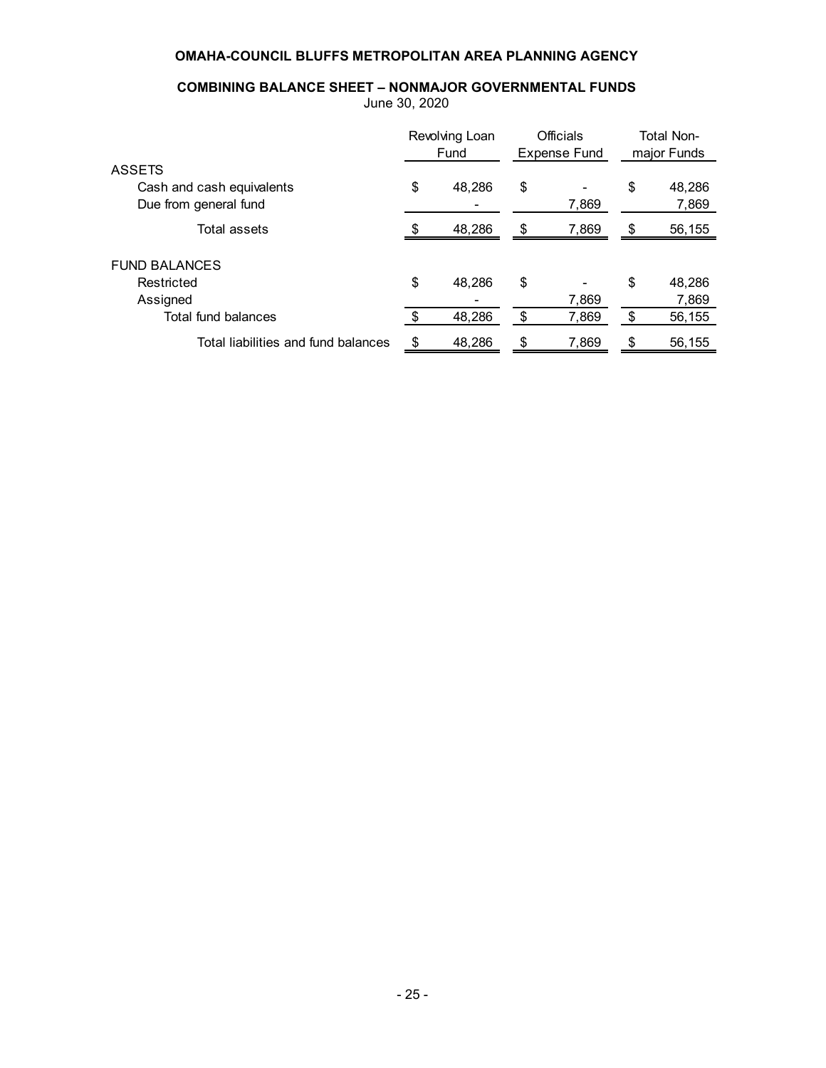# **COMBINING BALANCE SHEET – NONMAJOR GOVERNMENTAL FUNDS**

June 30, 2020

|                                     | Revolving Loan<br>Fund |        | Officials<br><b>Expense Fund</b> |       | <b>Total Non-</b><br>major Funds |        |
|-------------------------------------|------------------------|--------|----------------------------------|-------|----------------------------------|--------|
| ASSETS                              |                        |        |                                  |       |                                  |        |
| Cash and cash equivalents           | \$                     | 48,286 | \$                               |       | \$                               | 48,286 |
| Due from general fund               |                        |        |                                  | 7,869 |                                  | 7,869  |
| Total assets                        |                        | 48,286 | \$                               | 7,869 | \$                               | 56,155 |
| <b>FUND BALANCES</b>                |                        |        |                                  |       |                                  |        |
| Restricted                          | \$                     | 48.286 | \$                               |       | \$                               | 48.286 |
| Assigned                            |                        |        |                                  | 7,869 |                                  | 7,869  |
| Total fund balances                 | \$                     | 48,286 | \$                               | 7,869 | \$                               | 56,155 |
| Total liabilities and fund balances | \$                     | 48,286 | \$                               | 7,869 | \$                               | 56,155 |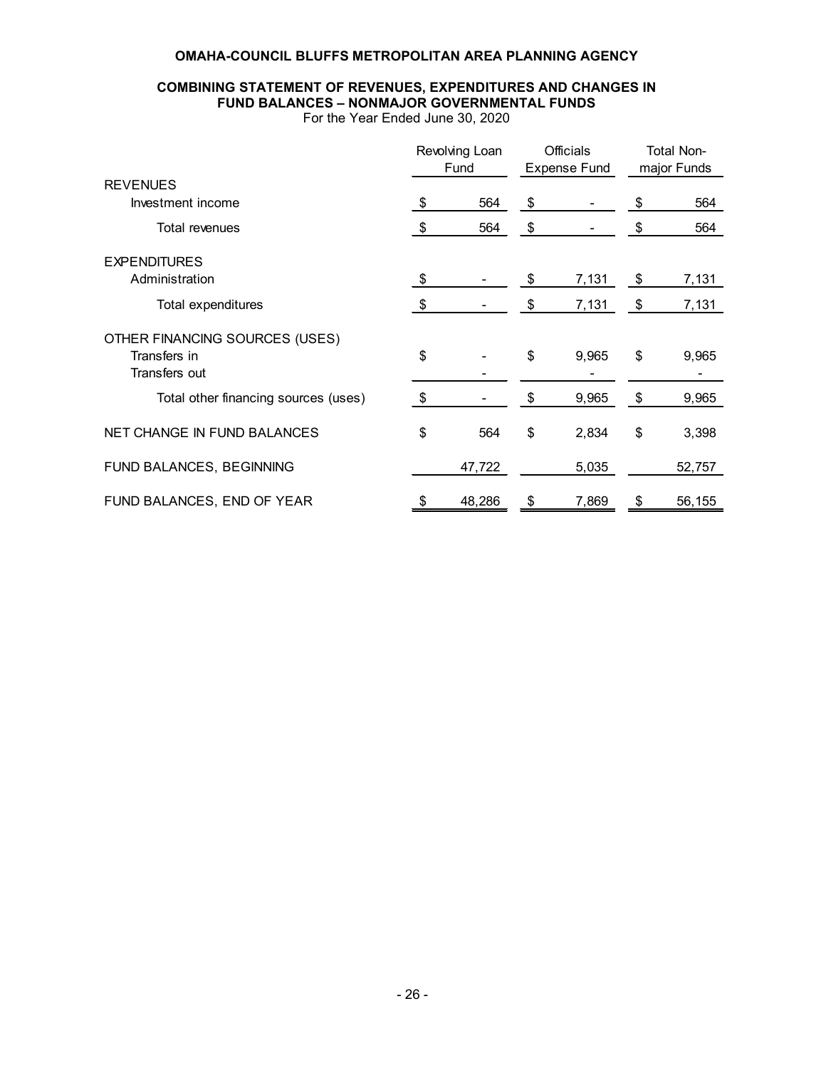# **COMBINING STATEMENT OF REVENUES, EXPENDITURES AND CHANGES IN FUND BALANCES – NONMAJOR GOVERNMENTAL FUNDS**

|                                                                 | Revolving Loan |        | <b>Officials</b><br><b>Expense Fund</b> |       | Total Non-<br>major Funds |        |
|-----------------------------------------------------------------|----------------|--------|-----------------------------------------|-------|---------------------------|--------|
| <b>REVENUES</b>                                                 |                | Fund   |                                         |       |                           |        |
| Investment income                                               | \$             | 564    | \$                                      |       | \$                        | 564    |
| Total revenues                                                  | \$             | 564    | \$                                      |       | \$                        | 564    |
| <b>EXPENDITURES</b>                                             |                |        |                                         |       |                           |        |
| Administration                                                  | \$             |        | \$                                      | 7,131 | \$                        | 7,131  |
| Total expenditures                                              | \$             |        | \$                                      | 7,131 | \$                        | 7,131  |
| OTHER FINANCING SOURCES (USES)<br>Transfers in<br>Transfers out | \$             |        | \$                                      | 9,965 | \$                        | 9,965  |
| Total other financing sources (uses)                            | \$             |        | \$                                      | 9,965 | \$                        | 9,965  |
| <b>NET CHANGE IN FUND BALANCES</b>                              | \$             | 564    | \$                                      | 2,834 | \$                        | 3,398  |
| FUND BALANCES, BEGINNING                                        |                | 47,722 |                                         | 5,035 |                           | 52,757 |
| FUND BALANCES, END OF YEAR                                      |                | 48,286 | \$                                      | 7,869 | \$                        | 56,155 |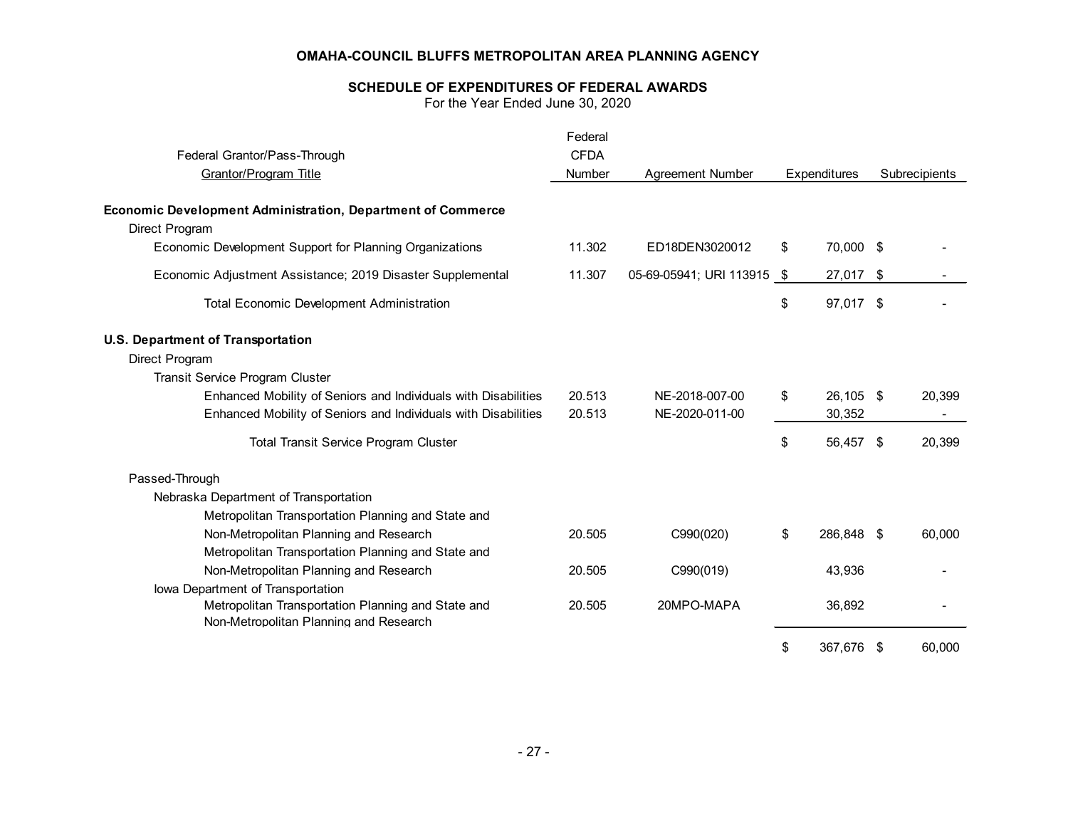# **SCHEDULE OF EXPENDITURES OF FEDERAL AWARDS**

|                                                                                              | Federal     |                            |              |           |      |               |
|----------------------------------------------------------------------------------------------|-------------|----------------------------|--------------|-----------|------|---------------|
| Federal Grantor/Pass-Through                                                                 | <b>CFDA</b> |                            |              |           |      |               |
| <b>Grantor/Program Title</b>                                                                 | Number      | <b>Agreement Number</b>    | Expenditures |           |      | Subrecipients |
| Economic Development Administration, Department of Commerce<br>Direct Program                |             |                            |              |           |      |               |
| Economic Development Support for Planning Organizations                                      | 11.302      | ED18DEN3020012             | \$           | 70,000 \$ |      |               |
|                                                                                              |             |                            |              |           |      |               |
| Economic Adjustment Assistance; 2019 Disaster Supplemental                                   | 11.307      | 05-69-05941; URI 113915 \$ |              | 27,017    | -\$  |               |
| <b>Total Economic Development Administration</b>                                             |             |                            | \$           | 97,017 \$ |      |               |
| <b>U.S. Department of Transportation</b>                                                     |             |                            |              |           |      |               |
| Direct Program                                                                               |             |                            |              |           |      |               |
| Transit Service Program Cluster                                                              |             |                            |              |           |      |               |
| Enhanced Mobility of Seniors and Individuals with Disabilities                               | 20.513      | NE-2018-007-00             | \$           | 26,105 \$ |      | 20,399        |
| Enhanced Mobility of Seniors and Individuals with Disabilities                               | 20.513      | NE-2020-011-00             |              | 30,352    |      |               |
| <b>Total Transit Service Program Cluster</b>                                                 |             |                            | \$           | 56,457    | -\$  | 20,399        |
| Passed-Through                                                                               |             |                            |              |           |      |               |
| Nebraska Department of Transportation                                                        |             |                            |              |           |      |               |
| Metropolitan Transportation Planning and State and                                           |             |                            |              |           |      |               |
| Non-Metropolitan Planning and Research                                                       | 20.505      | C990(020)                  | \$           | 286,848   | - \$ | 60,000        |
| Metropolitan Transportation Planning and State and                                           |             |                            |              |           |      |               |
| Non-Metropolitan Planning and Research                                                       | 20.505      | C990(019)                  |              | 43,936    |      |               |
| lowa Department of Transportation                                                            |             |                            |              |           |      |               |
| Metropolitan Transportation Planning and State and<br>Non-Metropolitan Planning and Research | 20.505      | 20MPO-MAPA                 |              | 36,892    |      |               |
|                                                                                              |             |                            | \$           | 367,676   | -\$  | 60,000        |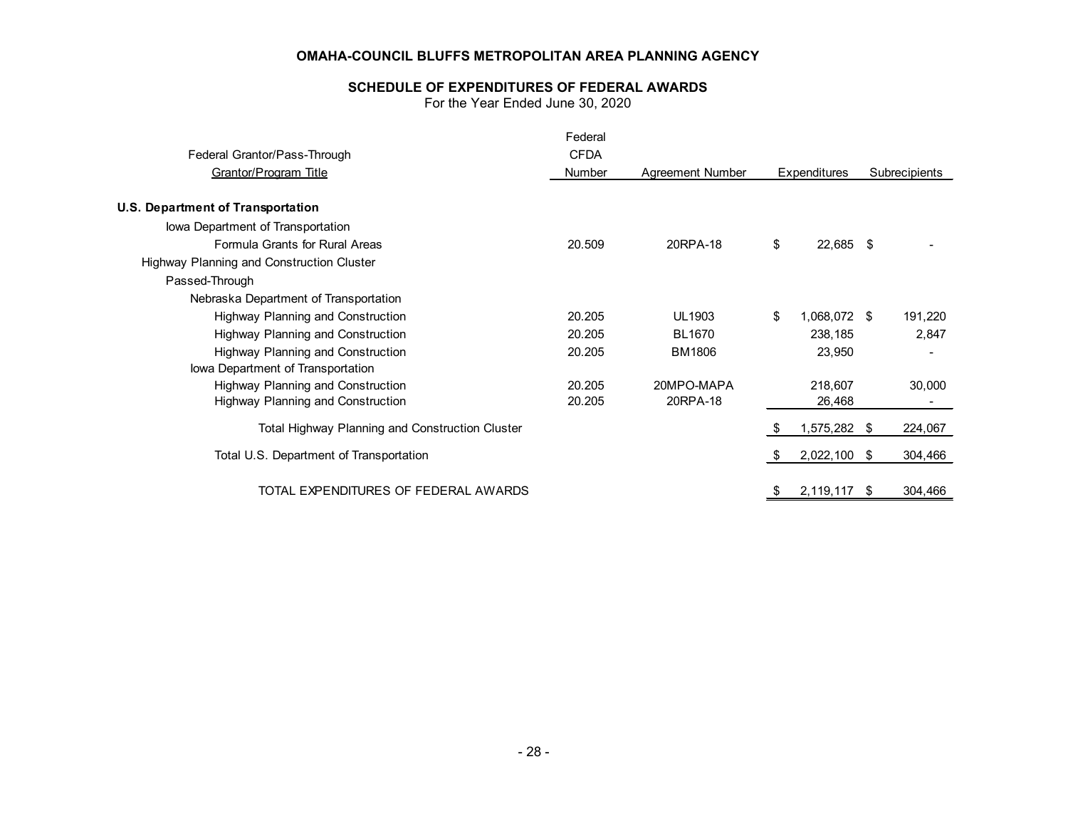## **SCHEDULE OF EXPENDITURES OF FEDERAL AWARDS**

|                                                        | Federal     |                  |              |              |               |         |
|--------------------------------------------------------|-------------|------------------|--------------|--------------|---------------|---------|
| Federal Grantor/Pass-Through                           | <b>CFDA</b> |                  |              |              |               |         |
| <b>Grantor/Program Title</b>                           |             | Agreement Number | Expenditures |              | Subrecipients |         |
| U.S. Department of Transportation                      |             |                  |              |              |               |         |
| lowa Department of Transportation                      |             |                  |              |              |               |         |
| Formula Grants for Rural Areas                         | 20.509      | 20RPA-18         | \$           | 22,685 \$    |               |         |
| Highway Planning and Construction Cluster              |             |                  |              |              |               |         |
| Passed-Through                                         |             |                  |              |              |               |         |
| Nebraska Department of Transportation                  |             |                  |              |              |               |         |
| <b>Highway Planning and Construction</b>               | 20.205      | <b>UL1903</b>    | \$           | 1,068,072 \$ |               | 191,220 |
| <b>Highway Planning and Construction</b>               | 20.205      | <b>BL1670</b>    |              | 238,185      |               | 2,847   |
| <b>Highway Planning and Construction</b>               | 20.205      | BM1806           |              | 23,950       |               |         |
| lowa Department of Transportation                      |             |                  |              |              |               |         |
| <b>Highway Planning and Construction</b>               | 20.205      | 20MPO-MAPA       |              | 218,607      |               | 30,000  |
| <b>Highway Planning and Construction</b>               | 20.205      | 20RPA-18         |              | 26,468       |               |         |
| <b>Total Highway Planning and Construction Cluster</b> |             |                  | -S           | 1,575,282    | -SS           | 224,067 |
| Total U.S. Department of Transportation                |             |                  | - \$         | 2,022,100    | - \$          | 304,466 |
| TOTAL EXPENDITURES OF FEDERAL AWARDS                   |             |                  | \$           | 2,119,117    | - \$          | 304,466 |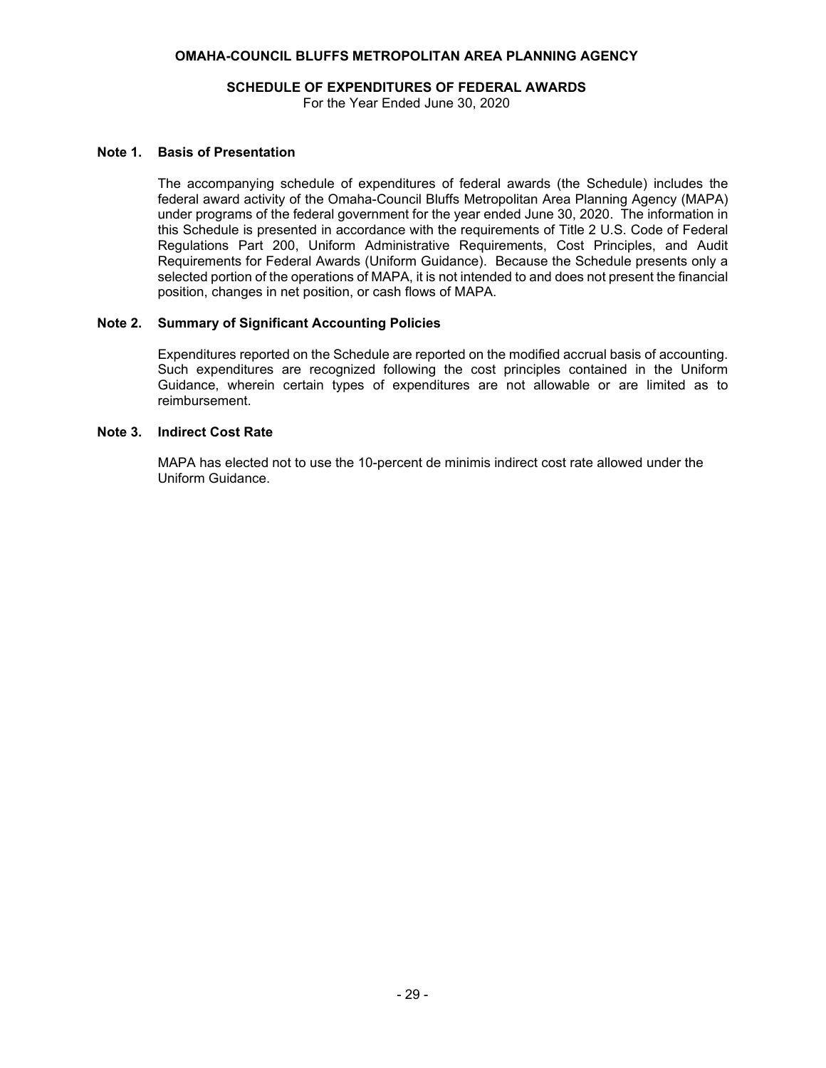# **SCHEDULE OF EXPENDITURES OF FEDERAL AWARDS**

For the Year Ended June 30, 2020

### **Note 1. Basis of Presentation**

The accompanying schedule of expenditures of federal awards (the Schedule) includes the federal award activity of the Omaha-Council Bluffs Metropolitan Area Planning Agency (MAPA) under programs of the federal government for the year ended June 30, 2020. The information in this Schedule is presented in accordance with the requirements of Title 2 U.S. Code of Federal Regulations Part 200, Uniform Administrative Requirements, Cost Principles, and Audit Requirements for Federal Awards (Uniform Guidance). Because the Schedule presents only a selected portion of the operations of MAPA, it is not intended to and does not present the financial position, changes in net position, or cash flows of MAPA.

#### **Note 2. Summary of Significant Accounting Policies**

Expenditures reported on the Schedule are reported on the modified accrual basis of accounting. Such expenditures are recognized following the cost principles contained in the Uniform Guidance, wherein certain types of expenditures are not allowable or are limited as to reimbursement.

### **Note 3. Indirect Cost Rate**

MAPA has elected not to use the 10-percent de minimis indirect cost rate allowed under the Uniform Guidance.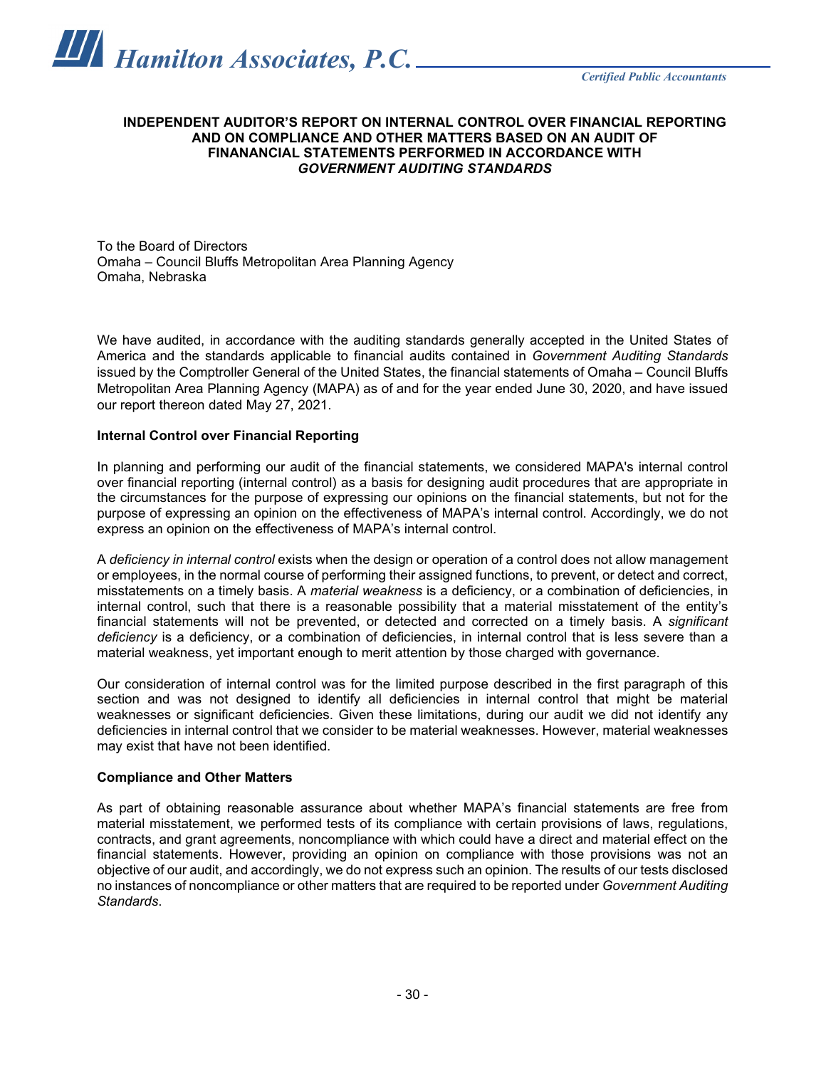

### **INDEPENDENT AUDITOR'S REPORT ON INTERNAL CONTROL OVER FINANCIAL REPORTING AND ON COMPLIANCE AND OTHER MATTERS BASED ON AN AUDIT OF FINANANCIAL STATEMENTS PERFORMED IN ACCORDANCE WITH** *GOVERNMENT AUDITING STANDARDS*

To the Board of Directors Omaha – Council Bluffs Metropolitan Area Planning Agency Omaha, Nebraska

We have audited, in accordance with the auditing standards generally accepted in the United States of America and the standards applicable to financial audits contained in *Government Auditing Standards*  issued by the Comptroller General of the United States, the financial statements of Omaha – Council Bluffs Metropolitan Area Planning Agency (MAPA) as of and for the year ended June 30, 2020, and have issued our report thereon dated May 27, 2021.

#### **Internal Control over Financial Reporting**

In planning and performing our audit of the financial statements, we considered MAPA's internal control over financial reporting (internal control) as a basis for designing audit procedures that are appropriate in the circumstances for the purpose of expressing our opinions on the financial statements, but not for the purpose of expressing an opinion on the effectiveness of MAPA's internal control. Accordingly, we do not express an opinion on the effectiveness of MAPA's internal control.

A *deficiency in internal control* exists when the design or operation of a control does not allow management or employees, in the normal course of performing their assigned functions, to prevent, or detect and correct, misstatements on a timely basis. A *material weakness* is a deficiency, or a combination of deficiencies, in internal control, such that there is a reasonable possibility that a material misstatement of the entity's financial statements will not be prevented, or detected and corrected on a timely basis. A *significant deficiency* is a deficiency, or a combination of deficiencies, in internal control that is less severe than a material weakness, yet important enough to merit attention by those charged with governance.

Our consideration of internal control was for the limited purpose described in the first paragraph of this section and was not designed to identify all deficiencies in internal control that might be material weaknesses or significant deficiencies. Given these limitations, during our audit we did not identify any deficiencies in internal control that we consider to be material weaknesses. However, material weaknesses may exist that have not been identified.

### **Compliance and Other Matters**

As part of obtaining reasonable assurance about whether MAPA's financial statements are free from material misstatement, we performed tests of its compliance with certain provisions of laws, regulations, contracts, and grant agreements, noncompliance with which could have a direct and material effect on the financial statements. However, providing an opinion on compliance with those provisions was not an objective of our audit, and accordingly, we do not express such an opinion. The results of our tests disclosed no instances of noncompliance or other matters that are required to be reported under *Government Auditing Standards*.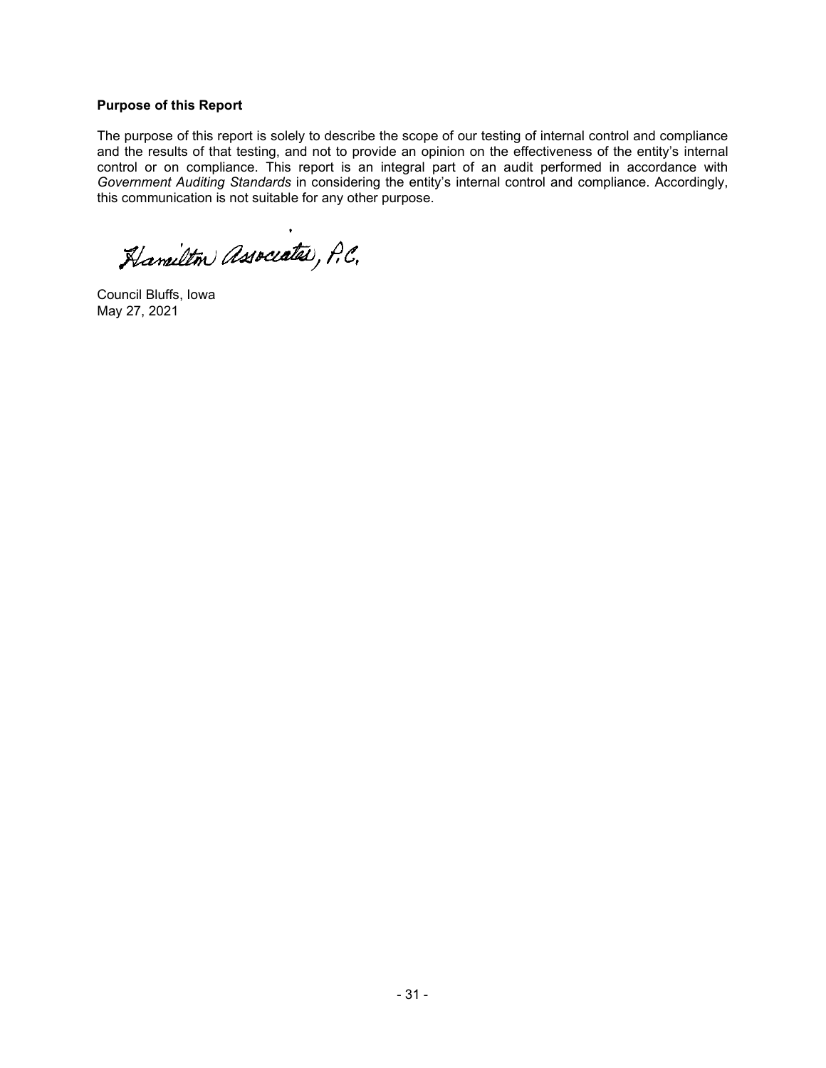# **Purpose of this Report**

The purpose of this report is solely to describe the scope of our testing of internal control and compliance and the results of that testing, and not to provide an opinion on the effectiveness of the entity's internal control or on compliance. This report is an integral part of an audit performed in accordance with *Government Auditing Standards* in considering the entity's internal control and compliance. Accordingly, this communication is not suitable for any other purpose.

Hamilton associates, P.C.

Council Bluffs, Iowa May 27, 2021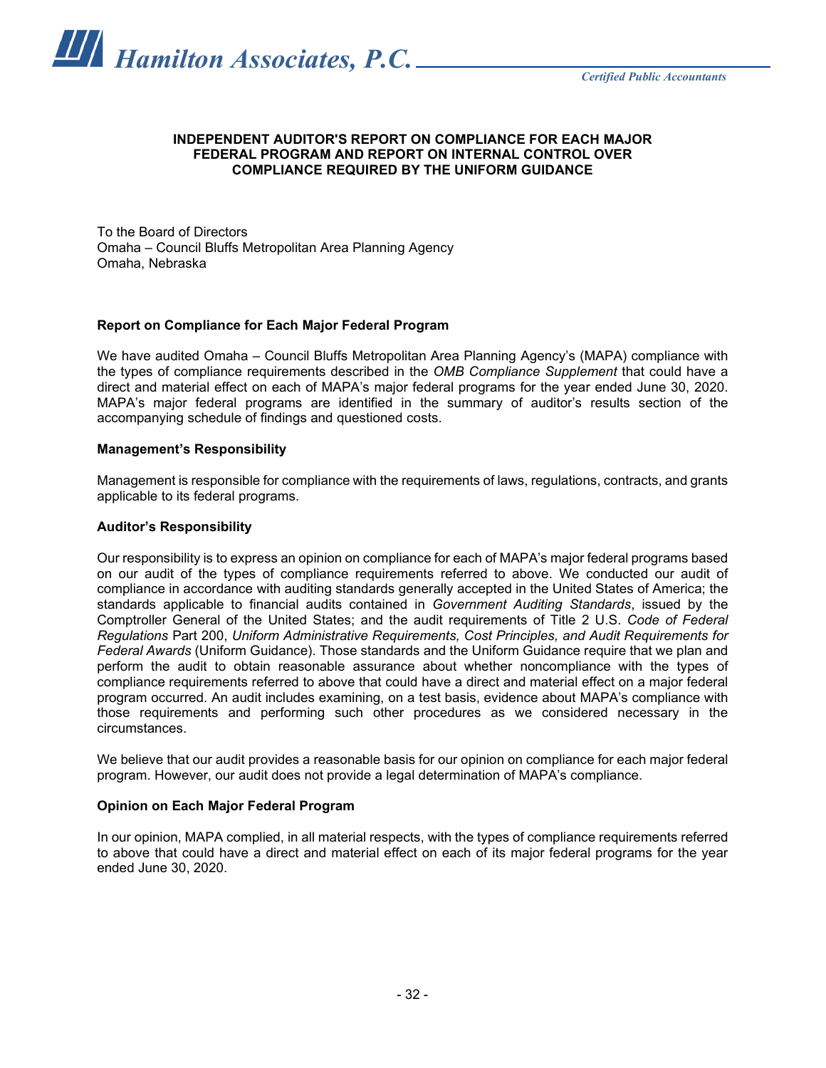

### **INDEPENDENT AUDITOR'S REPORT ON COMPLIANCE FOR EACH MAJOR FEDERAL PROGRAM AND REPORT ON INTERNAL CONTROL OVER COMPLIANCE REQUIRED BY THE UNIFORM GUIDANCE**

To the Board of Directors Omaha – Council Bluffs Metropolitan Area Planning Agency Omaha, Nebraska

#### **Report on Compliance for Each Major Federal Program**

We have audited Omaha – Council Bluffs Metropolitan Area Planning Agency's (MAPA) compliance with the types of compliance requirements described in the *OMB Compliance Supplement* that could have a direct and material effect on each of MAPA's major federal programs for the year ended June 30, 2020. MAPA's major federal programs are identified in the summary of auditor's results section of the accompanying schedule of findings and questioned costs.

### **Management's Responsibility**

Management is responsible for compliance with the requirements of laws, regulations, contracts, and grants applicable to its federal programs.

### **Auditor's Responsibility**

Our responsibility is to express an opinion on compliance for each of MAPA's major federal programs based on our audit of the types of compliance requirements referred to above. We conducted our audit of compliance in accordance with auditing standards generally accepted in the United States of America; the standards applicable to financial audits contained in *Government Auditing Standards*, issued by the Comptroller General of the United States; and the audit requirements of Title 2 U.S. *Code of Federal Regulations* Part 200, *Uniform Administrative Requirements, Cost Principles, and Audit Requirements for Federal Awards* (Uniform Guidance). Those standards and the Uniform Guidance require that we plan and perform the audit to obtain reasonable assurance about whether noncompliance with the types of compliance requirements referred to above that could have a direct and material effect on a major federal program occurred. An audit includes examining, on a test basis, evidence about MAPA's compliance with those requirements and performing such other procedures as we considered necessary in the circumstances.

We believe that our audit provides a reasonable basis for our opinion on compliance for each major federal program. However, our audit does not provide a legal determination of MAPA's compliance.

#### **Opinion on Each Major Federal Program**

In our opinion, MAPA complied, in all material respects, with the types of compliance requirements referred to above that could have a direct and material effect on each of its major federal programs for the year ended June 30, 2020.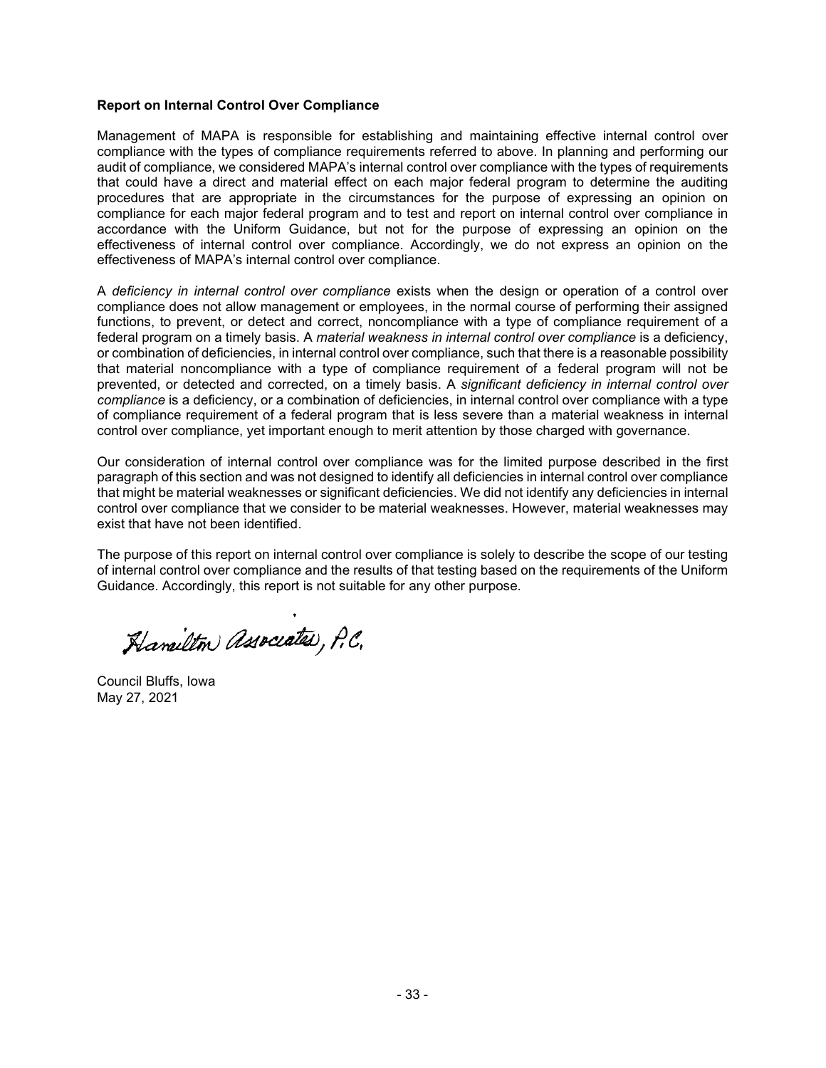### **Report on Internal Control Over Compliance**

Management of MAPA is responsible for establishing and maintaining effective internal control over compliance with the types of compliance requirements referred to above. In planning and performing our audit of compliance, we considered MAPA's internal control over compliance with the types of requirements that could have a direct and material effect on each major federal program to determine the auditing procedures that are appropriate in the circumstances for the purpose of expressing an opinion on compliance for each major federal program and to test and report on internal control over compliance in accordance with the Uniform Guidance, but not for the purpose of expressing an opinion on the effectiveness of internal control over compliance. Accordingly, we do not express an opinion on the effectiveness of MAPA's internal control over compliance.

A *deficiency in internal control over compliance* exists when the design or operation of a control over compliance does not allow management or employees, in the normal course of performing their assigned functions, to prevent, or detect and correct, noncompliance with a type of compliance requirement of a federal program on a timely basis. A *material weakness in internal control over compliance* is a deficiency, or combination of deficiencies, in internal control over compliance, such that there is a reasonable possibility that material noncompliance with a type of compliance requirement of a federal program will not be prevented, or detected and corrected, on a timely basis. A *significant deficiency in internal control over compliance* is a deficiency, or a combination of deficiencies, in internal control over compliance with a type of compliance requirement of a federal program that is less severe than a material weakness in internal control over compliance, yet important enough to merit attention by those charged with governance.

Our consideration of internal control over compliance was for the limited purpose described in the first paragraph of this section and was not designed to identify all deficiencies in internal control over compliance that might be material weaknesses or significant deficiencies. We did not identify any deficiencies in internal control over compliance that we consider to be material weaknesses. However, material weaknesses may exist that have not been identified.

The purpose of this report on internal control over compliance is solely to describe the scope of our testing of internal control over compliance and the results of that testing based on the requirements of the Uniform Guidance. Accordingly, this report is not suitable for any other purpose.

Hamilton associates, P.C.

Council Bluffs, Iowa May 27, 2021